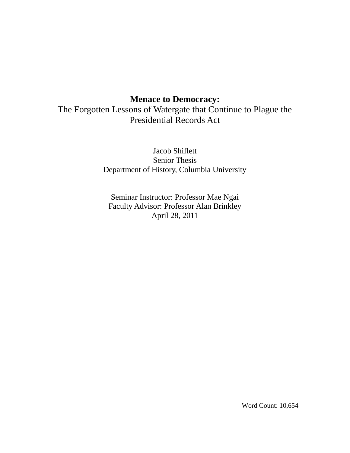# **Menace to Democracy:**

The Forgotten Lessons of Watergate that Continue to Plague the Presidential Records Act

> Jacob Shiflett Senior Thesis Department of History, Columbia University

Seminar Instructor: Professor Mae Ngai Faculty Advisor: Professor Alan Brinkley April 28, 2011

Word Count: 10,654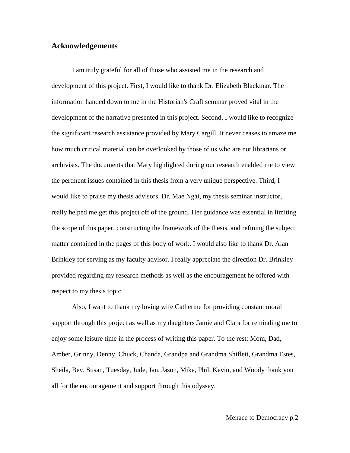## **Acknowledgements**

I am truly grateful for all of those who assisted me in the research and development of this project. First, I would like to thank Dr. Elizabeth Blackmar. The information handed down to me in the Historian's Craft seminar proved vital in the development of the narrative presented in this project. Second, I would like to recognize the significant research assistance provided by Mary Cargill. It never ceases to amaze me how much critical material can be overlooked by those of us who are not librarians or archivists. The documents that Mary highlighted during our research enabled me to view the pertinent issues contained in this thesis from a very unique perspective. Third, I would like to praise my thesis advisors. Dr. Mae Ngai, my thesis seminar instructor, really helped me get this project off of the ground. Her guidance was essential in limiting the scope of this paper, constructing the framework of the thesis, and refining the subject matter contained in the pages of this body of work. I would also like to thank Dr. Alan Brinkley for serving as my faculty advisor. I really appreciate the direction Dr. Brinkley provided regarding my research methods as well as the encouragement he offered with respect to my thesis topic.

Also, I want to thank my loving wife Catherine for providing constant moral support through this project as well as my daughters Jamie and Clara for reminding me to enjoy some leisure time in the process of writing this paper. To the rest: Mom, Dad, Amber, Grinny, Denny, Chuck, Chanda, Grandpa and Grandma Shiflett, Grandma Estes, Sheila, Bev, Susan, Tuesday, Jude, Jan, Jason, Mike, Phil, Kevin, and Woody thank you all for the encouragement and support through this odyssey.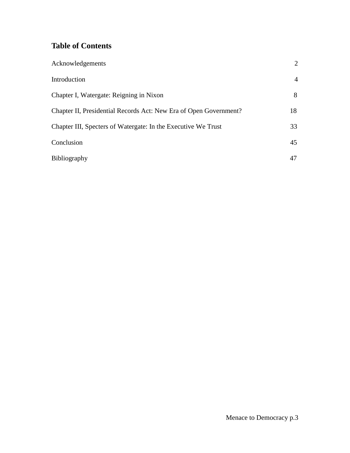# **Table of Contents**

| Acknowledgements                                                  | 2              |
|-------------------------------------------------------------------|----------------|
| Introduction                                                      | $\overline{4}$ |
| Chapter I, Watergate: Reigning in Nixon                           | 8              |
| Chapter II, Presidential Records Act: New Era of Open Government? | 18             |
| Chapter III, Specters of Watergate: In the Executive We Trust     | 33             |
| Conclusion                                                        | 45             |
| Bibliography                                                      | 47             |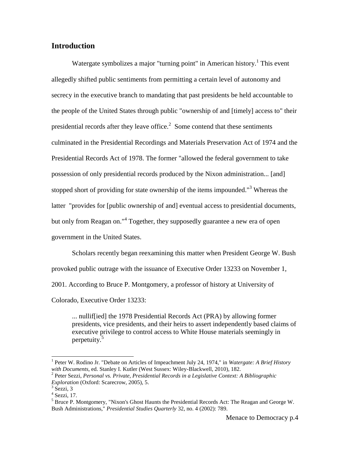# **Introduction**

Watergate symbolizes a major "turning point" in American history.<sup>1</sup> This event allegedly shifted public sentiments from permitting a certain level of autonomy and secrecy in the executive branch to mandating that past presidents be held accountable to the people of the United States through public "ownership of and [timely] access to" their presidential records after they leave office. $2$  Some contend that these sentiments culminated in the Presidential Recordings and Materials Preservation Act of 1974 and the Presidential Records Act of 1978. The former "allowed the federal government to take possession of only presidential records produced by the Nixon administration... [and] stopped short of providing for state ownership of the items impounded."<sup>3</sup> Whereas the latter "provides for [public ownership of and] eventual access to presidential documents, but only from Reagan on."<sup>4</sup> Together, they supposedly guarantee a new era of open government in the United States.

Scholars recently began reexamining this matter when President George W. Bush provoked public outrage with the issuance of Executive Order 13233 on November 1, 2001. According to Bruce P. Montgomery, a professor of history at University of Colorado, Executive Order 13233:

... nullif[ied] the 1978 Presidential Records Act (PRA) by allowing former presidents, vice presidents, and their heirs to assert independently based claims of executive privilege to control access to White House materials seemingly in perpetuity.<sup>5</sup>

<sup>&</sup>lt;sup>1</sup> Peter W. Rodino Jr. "Debate on Articles of Impeachment July 24, 1974," in *Watergate: A Brief History with Documents*, ed. Stanley I. Kutler (West Sussex: Wiley-Blackwell, 2010), 182.

<sup>2</sup> Peter Sezzi, *Personal vs. Private, Presidential Records in a Legislative Context: A Bibliographic Exploration* (Oxford: Scarecrow, 2005), 5.

 $3$  Sezzi, 3

 $<sup>4</sup>$  Sezzi, 17.</sup>

<sup>5</sup> Bruce P. Montgomery, "Nixon's Ghost Haunts the Presidential Records Act: The Reagan and George W. Bush Administrations," *Presidential Studies Quarterly* 32, no. 4 (2002): 789.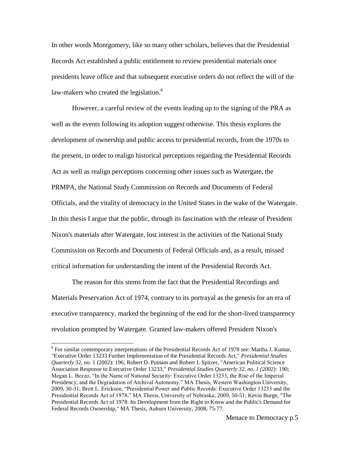In other words Montgomery, like so many other scholars, believes that the Presidential Records Act established a public entitlement to review presidential materials once presidents leave office and that subsequent executive orders do not reflect the will of the law-makers who created the legislation.<sup>6</sup>

However, a careful review of the events leading up to the signing of the PRA as well as the events following its adoption suggest otherwise. This thesis explores the development of ownership and public access to presidential records, from the 1970s to the present, in order to realign historical perceptions regarding the Presidential Records Act as well as realign perceptions concerning other issues such as Watergate, the PRMPA, the National Study Commission on Records and Documents of Federal Officials, and the vitality of democracy in the United States in the wake of the Watergate. In this thesis I argue that the public, through its fascination with the release of President Nixon's materials after Watergate, lost interest in the activities of the National Study Commission on Records and Documents of Federal Officials and, as a result, missed critical information for understanding the intent of the Presidential Records Act.

The reason for this stems from the fact that the Presidential Recordings and Materials Preservation Act of 1974, contrary to its portrayal as the genesis for an era of executive transparency, marked the beginning of the end for the short-lived transparency revolution prompted by Watergate. Granted law-makers offered President Nixon's

<sup>&</sup>lt;sup>6</sup> For similar contemporary interpretations of the Presidential Records Act of 1978 see: Martha J. Kumar, "Executive Order 13233 Further Implementation of the Presidential Records Act," *Presidential Studies Quarterly* 32, no. 1 (2002): 196; Robert D. Putnam and Robert J. Spitzer, "American Political Science Association Response to Executive Order 13233," *Presidential Studies Quarterly 32, no. 1 (2002):* 190; Megan L. Bezzo, "In the Name of National Security: Executive Order 13233, the Rise of the Imperial Presidency, and the Degradation of Archival Autonomy." MA Thesis, Western Washington University, 2009, 30-31; Brett L. Erickson, "Presidential Power and Public Records: Executive Order 13233 and the Presidential Records Act of 1978," MA Thesis, University of Nebraska, 2009, 50-51; Kevin Burge, "The Presidential Records Act of 1978: Its Development from the Right to Know and the Public's Demand for Federal Records Ownership," MA Thesis, Auburn University, 2008, 75-77.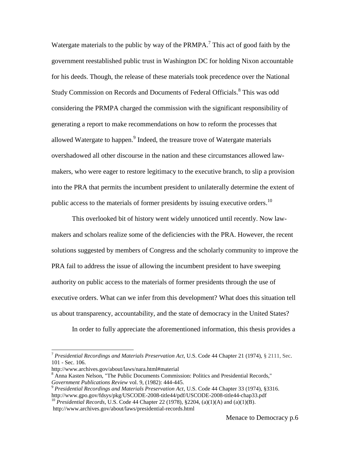Watergate materials to the public by way of the PRMPA.<sup>7</sup> This act of good faith by the government reestablished public trust in Washington DC for holding Nixon accountable for his deeds. Though, the release of these materials took precedence over the National Study Commission on Records and Documents of Federal Officials. 8 This was odd considering the PRMPA charged the commission with the significant responsibility of generating a report to make recommendations on how to reform the processes that allowed Watergate to happen.<sup>9</sup> Indeed, the treasure trove of Watergate materials overshadowed all other discourse in the nation and these circumstances allowed lawmakers, who were eager to restore legitimacy to the executive branch, to slip a provision into the PRA that permits the incumbent president to unilaterally determine the extent of public access to the materials of former presidents by issuing executive orders.<sup>10</sup>

This overlooked bit of history went widely unnoticed until recently. Now lawmakers and scholars realize some of the deficiencies with the PRA. However, the recent solutions suggested by members of Congress and the scholarly community to improve the PRA fail to address the issue of allowing the incumbent president to have sweeping authority on public access to the materials of former presidents through the use of executive orders. What can we infer from this development? What does this situation tell us about transparency, accountability, and the state of democracy in the United States?

In order to fully appreciate the aforementioned information, this thesis provides a

l

<sup>7</sup> *Presidential Recordings and Materials Preservation Act*, U.S. Code 44 Chapter 21 (1974), § 2111, Sec. 101 - Sec. 106.

http://www.archives.gov/about/laws/nara.html#material

<sup>8</sup> Anna Kasten Nelson, "The Public Documents Commission: Politics and Presidential Records," *Government Publications Review* vol. 9, (1982): 444-445.

<sup>9</sup> *Presidential Recordings and Materials Preservation Act*, U.S. Code 44 Chapter 33 (1974), §3316. http://www.gpo.gov/fdsys/pkg/USCODE-2008-title44/pdf/USCODE-2008-title44-chap33.pdf

<sup>10</sup> *Presidential Records*, U.S. Code 44 Chapter 22 (1978), §2204, (a)(1)(A) and (a)(1)(B). http://www.archives.gov/about/laws/presidential-records.html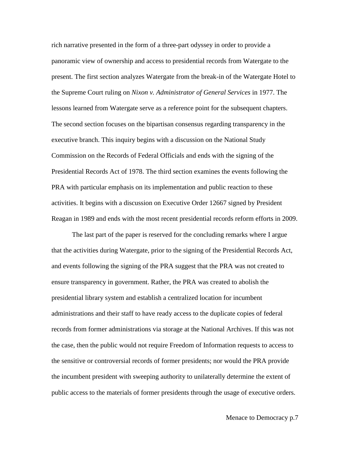rich narrative presented in the form of a three-part odyssey in order to provide a panoramic view of ownership and access to presidential records from Watergate to the present. The first section analyzes Watergate from the break-in of the Watergate Hotel to the Supreme Court ruling on *Nixon v. Administrator of General Services* in 1977. The lessons learned from Watergate serve as a reference point for the subsequent chapters. The second section focuses on the bipartisan consensus regarding transparency in the executive branch. This inquiry begins with a discussion on the National Study Commission on the Records of Federal Officials and ends with the signing of the Presidential Records Act of 1978. The third section examines the events following the PRA with particular emphasis on its implementation and public reaction to these activities. It begins with a discussion on Executive Order 12667 signed by President Reagan in 1989 and ends with the most recent presidential records reform efforts in 2009.

The last part of the paper is reserved for the concluding remarks where I argue that the activities during Watergate, prior to the signing of the Presidential Records Act, and events following the signing of the PRA suggest that the PRA was not created to ensure transparency in government. Rather, the PRA was created to abolish the presidential library system and establish a centralized location for incumbent administrations and their staff to have ready access to the duplicate copies of federal records from former administrations via storage at the National Archives. If this was not the case, then the public would not require Freedom of Information requests to access to the sensitive or controversial records of former presidents; nor would the PRA provide the incumbent president with sweeping authority to unilaterally determine the extent of public access to the materials of former presidents through the usage of executive orders.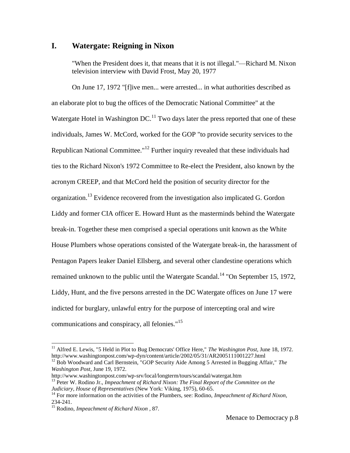## **I. Watergate: Reigning in Nixon**

"When the President does it, that means that it is not illegal."—Richard M. Nixon television interview with David Frost, May 20, 1977

On June 17, 1972 "[f]ive men... were arrested... in what authorities described as an elaborate plot to bug the offices of the Democratic National Committee" at the Watergate Hotel in Washington  $DC<sup>11</sup>$  Two days later the press reported that one of these individuals, James W. McCord, worked for the GOP "to provide security services to the Republican National Committee."<sup>12</sup> Further inquiry revealed that these individuals had ties to the Richard Nixon's 1972 Committee to Re-elect the President, also known by the acronym CREEP, and that McCord held the position of security director for the organization.<sup>13</sup> Evidence recovered from the investigation also implicated G. Gordon Liddy and former CIA officer E. Howard Hunt as the masterminds behind the Watergate break-in. Together these men comprised a special operations unit known as the White House Plumbers whose operations consisted of the Watergate break-in, the harassment of Pentagon Papers leaker Daniel Ellsberg, and several other clandestine operations which remained unknown to the public until the Watergate Scandal.<sup>14</sup> "On September 15, 1972, Liddy, Hunt, and the five persons arrested in the DC Watergate offices on June 17 were indicted for burglary, unlawful entry for the purpose of intercepting oral and wire communications and conspiracy, all felonies."<sup>15</sup>

<sup>&</sup>lt;sup>11</sup> Alfred E. Lewis, "5 Held in Plot to Bug Democrats' Office Here," *The Washington Post*, June 18, 1972. http://www.washingtonpost.com/wp-dyn/content/article/2002/05/31/AR2005111001227.html

<sup>&</sup>lt;sup>12</sup> Bob Woodward and Carl Bernstein, "GOP Security Aide Among 5 Arrested in Bugging Affair," *The Washington Post*, June 19, 1972.

http://www.washingtonpost.com/wp-srv/local/longterm/tours/scandal/watergat.htm

<sup>&</sup>lt;sup>13</sup> Peter W. Rodino Jr., *Impeachment of Richard Nixon: The Final Report of the Committee on the Judiciary, House of Representatives* (New York: Viking, 1975), 60-65.

<sup>&</sup>lt;sup>14</sup> For more information on the activities of the Plumbers, see: Rodino, *Impeachment of Richard Nixon*, 234-241.

<sup>15</sup> Rodino, *Impeachment of Richard Nixon* , 87.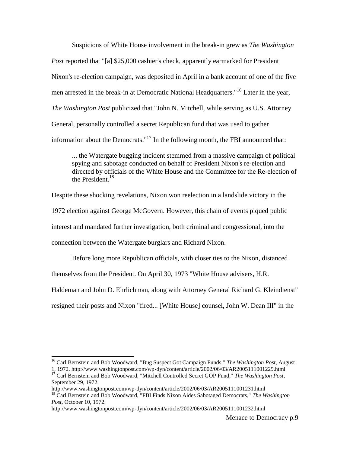Suspicions of White House involvement in the break-in grew as *The Washington Post* reported that "[a] \$25,000 cashier's check, apparently earmarked for President Nixon's re-election campaign, was deposited in April in a bank account of one of the five men arrested in the break-in at Democratic National Headquarters."<sup>16</sup> Later in the year, *The Washington Post* publicized that "John N. Mitchell, while serving as U.S. Attorney General, personally controlled a secret Republican fund that was used to gather information about the Democrats."<sup>17</sup> In the following month, the FBI announced that:

... the Watergate bugging incident stemmed from a massive campaign of political spying and sabotage conducted on behalf of President Nixon's re-election and directed by officials of the White House and the Committee for the Re-election of the President.<sup>18</sup>

Despite these shocking revelations, Nixon won reelection in a landslide victory in the 1972 election against George McGovern. However, this chain of events piqued public interest and mandated further investigation, both criminal and congressional, into the connection between the Watergate burglars and Richard Nixon.

Before long more Republican officials, with closer ties to the Nixon, distanced themselves from the President. On April 30, 1973 "White House advisers, H.R. Haldeman and John D. Ehrlichman, along with Attorney General Richard G. Kleindienst" resigned their posts and Nixon "fired... [White House] counsel, John W. Dean III" in the

<sup>16</sup> Carl Bernstein and Bob Woodward, "Bug Suspect Got Campaign Funds," *The Washington Post*, August

<sup>1, 1972.</sup> http://www.washingtonpost.com/wp-dyn/content/article/2002/06/03/AR2005111001229.html <sup>17</sup> Carl Bernstein and Bob Woodward, "Mitchell Controlled Secret GOP Fund," *The Washington Post*, September 29, 1972.

http://www.washingtonpost.com/wp-dyn/content/article/2002/06/03/AR2005111001231.html

<sup>18</sup> Carl Bernstein and Bob Woodward, "FBI Finds Nixon Aides Sabotaged Democrats," *The Washington Post*, October 10, 1972.

http://www.washingtonpost.com/wp-dyn/content/article/2002/06/03/AR2005111001232.html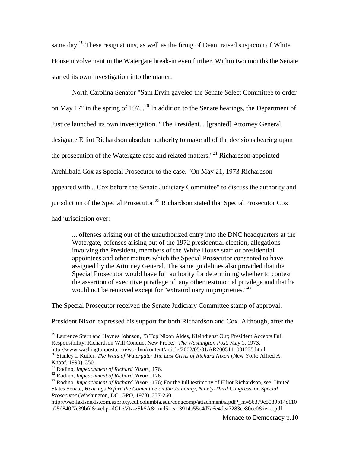same day.<sup>19</sup> These resignations, as well as the firing of Dean, raised suspicion of White House involvement in the Watergate break-in even further. Within two months the Senate started its own investigation into the matter.

North Carolina Senator "Sam Ervin gaveled the Senate Select Committee to order on May 17" in the spring of 1973.<sup>20</sup> In addition to the Senate hearings, the Department of Justice launched its own investigation. "The President... [granted] Attorney General designate Elliot Richardson absolute authority to make all of the decisions bearing upon the prosecution of the Watergate case and related matters."<sup>21</sup> Richardson appointed Archilbald Cox as Special Prosecutor to the case. "On May 21, 1973 Richardson appeared with... Cox before the Senate Judiciary Committee" to discuss the authority and jurisdiction of the Special Prosecutor.<sup>22</sup> Richardson stated that Special Prosecutor Cox had jurisdiction over:

... offenses arising out of the unauthorized entry into the DNC headquarters at the Watergate, offenses arising out of the 1972 presidential election, allegations involving the President, members of the White House staff or presidential appointees and other matters which the Special Prosecutor consented to have assigned by the Attorney General. The same guidelines also provided that the Special Prosecutor would have full authority for determining whether to contest the assertion of executive privilege of any other testimonial privilege and that he would not be removed except for "extraordinary improprieties."<sup>23</sup>

The Special Prosecutor received the Senate Judiciary Committee stamp of approval.

President Nixon expressed his support for both Richardson and Cox. Although, after the

<sup>&</sup>lt;sup>19</sup> Laurence Stern and Haynes Johnson, "3 Top Nixon Aides, Kleindienst Out; President Accepts Full Responsibility; Richardson Will Conduct New Probe," *The Washington Post*, May 1, 1973. http://www.washingtonpost.com/wp-dyn/content/article/2002/05/31/AR2005111001235.html

<sup>20</sup> Stanley I. Kutler, *The Wars of Watergate: The Last Crisis of Richard Nixon* (New York: Alfred A. Knopf, 1990), 350.

<sup>21</sup> Rodino, *Impeachment of Richard Nixon* , 176.

<sup>22</sup> Rodino, *Impeachment of Richard Nixon* , 176.

<sup>&</sup>lt;sup>23</sup> Rodino, *Impeachment of Richard Nixon*, 176; For the full testimony of Elliot Richardson, see: United States Senate, *Hearings Before the Committee on the Judiciary, Ninety-Third Congress, on Special Prosecutor* (Washington, DC: GPO, 1973), 237-260.

http://web.lexisnexis.com.ezproxy.cul.columbia.edu/congcomp/attachment/a.pdf? m=56379c5089b14c110 a25d840f7e39bfd&wchp=dGLzVtz-zSkSA&\_md5=eac3914a55c4d7a6e4dea7283ce80cc0&ie=a.pdf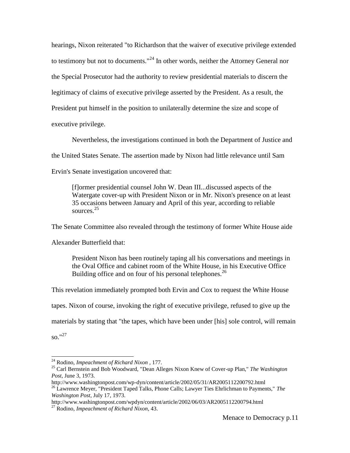hearings, Nixon reiterated "to Richardson that the waiver of executive privilege extended to testimony but not to documents."<sup>24</sup> In other words, neither the Attorney General nor the Special Prosecutor had the authority to review presidential materials to discern the legitimacy of claims of executive privilege asserted by the President. As a result, the President put himself in the position to unilaterally determine the size and scope of executive privilege.

Nevertheless, the investigations continued in both the Department of Justice and the United States Senate. The assertion made by Nixon had little relevance until Sam Ervin's Senate investigation uncovered that:

[f]ormer presidential counsel John W. Dean III...discussed aspects of the Watergate cover-up with President Nixon or in Mr. Nixon's presence on at least 35 occasions between January and April of this year, according to reliable sources. 25

The Senate Committee also revealed through the testimony of former White House aide

Alexander Butterfield that:

President Nixon has been routinely taping all his conversations and meetings in the Oval Office and cabinet room of the White House, in his Executive Office Building office and on four of his personal telephones.<sup>26</sup>

This revelation immediately prompted both Ervin and Cox to request the White House

tapes. Nixon of course, invoking the right of executive privilege, refused to give up the

materials by stating that "the tapes, which have been under [his] sole control, will remain

 $\mathrm{so.}$ "<sup>27</sup>

<sup>24</sup> Rodino, *Impeachment of Richard Nixon* , 177.

<sup>25</sup> Carl Bernstein and Bob Woodward, "Dean Alleges Nixon Knew of Cover-up Plan," *The Washington Post*, June 3, 1973.

http://www.washingtonpost.com/wp-dyn/content/article/2002/05/31/AR2005112200792.html

<sup>26</sup> Lawrence Meyer, "President Taped Talks, Phone Calls; Lawyer Ties Ehrlichman to Payments," *The Washington Post*, July 17, 1973.

http://www.washingtonpost.com/wpdyn/content/article/2002/06/03/AR2005112200794.html <sup>27</sup> Rodino, *Impeachment of Richard Nixon*, 43.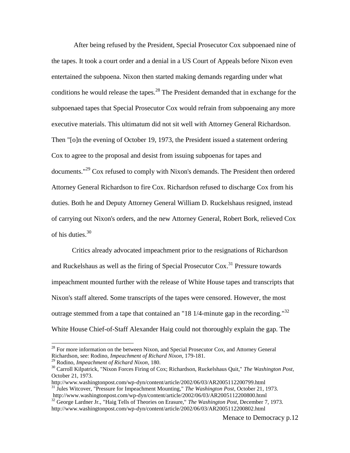After being refused by the President, Special Prosecutor Cox subpoenaed nine of the tapes. It took a court order and a denial in a US Court of Appeals before Nixon even entertained the subpoena. Nixon then started making demands regarding under what conditions he would release the tapes.<sup>28</sup> The President demanded that in exchange for the subpoenaed tapes that Special Prosecutor Cox would refrain from subpoenaing any more executive materials. This ultimatum did not sit well with Attorney General Richardson. Then "[o]n the evening of October 19, 1973, the President issued a statement ordering Cox to agree to the proposal and desist from issuing subpoenas for tapes and documents."<sup>29</sup> Cox refused to comply with Nixon's demands. The President then ordered Attorney General Richardson to fire Cox. Richardson refused to discharge Cox from his duties. Both he and Deputy Attorney General William D. Ruckelshaus resigned, instead of carrying out Nixon's orders, and the new Attorney General, Robert Bork, relieved Cox of his duties. $30$ 

Critics already advocated impeachment prior to the resignations of Richardson and Ruckelshaus as well as the firing of Special Prosecutor Cox.<sup>31</sup> Pressure towards impeachment mounted further with the release of White House tapes and transcripts that Nixon's staff altered. Some transcripts of the tapes were censored. However, the most outrage stemmed from a tape that contained an "18 1/4-minute gap in the recording."<sup>32</sup> White House Chief-of-Staff Alexander Haig could not thoroughly explain the gap. The

 $28$  For more information on the between Nixon, and Special Prosecutor Cox, and Attorney General Richardson, see: Rodino, *Impeachment of Richard Nixon*, 179-181.

<sup>29</sup> Rodino, *Impeachment of Richard Nixon*, 180.

<sup>30</sup> Carroll Kilpatrick, "Nixon Forces Firing of Cox; Richardson, Ruckelshaus Quit," *The Washington Post*, October 21, 1973.

http://www.washingtonpost.com/wp-dyn/content/article/2002/06/03/AR2005112200799.html <sup>31</sup> Jules Witcover, "Pressure for Impeachment Mounting," *The Washington Post*, October 21, 1973.

http://www.washingtonpost.com/wp-dyn/content/article/2002/06/03/AR2005112200800.html <sup>32</sup> George Lardner Jr., "Haig Tells of Theories on Erasure," *The Washington Post*, December 7, 1973.

http://www.washingtonpost.com/wp-dyn/content/article/2002/06/03/AR2005112200802.html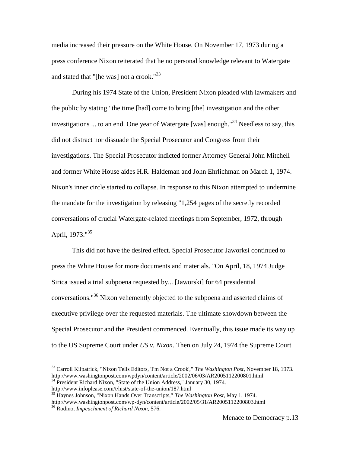media increased their pressure on the White House. On November 17, 1973 during a press conference Nixon reiterated that he no personal knowledge relevant to Watergate and stated that "[he was] not a crook."<sup>33</sup>

During his 1974 State of the Union, President Nixon pleaded with lawmakers and the public by stating "the time [had] come to bring [the] investigation and the other investigations ... to an end. One year of Watergate [was] enough."<sup>34</sup> Needless to say, this did not distract nor dissuade the Special Prosecutor and Congress from their investigations. The Special Prosecutor indicted former Attorney General John Mitchell and former White House aides H.R. Haldeman and John Ehrlichman on March 1, 1974. Nixon's inner circle started to collapse. In response to this Nixon attempted to undermine the mandate for the investigation by releasing "1,254 pages of the secretly recorded conversations of crucial Watergate-related meetings from September, 1972, through April,  $1973.^{035}$ 

This did not have the desired effect. Special Prosecutor Jaworksi continued to press the White House for more documents and materials. "On April, 18, 1974 Judge Sirica issued a trial subpoena requested by... [Jaworski] for 64 presidential conversations."<sup>36</sup> Nixon vehemently objected to the subpoena and asserted claims of executive privilege over the requested materials. The ultimate showdown between the Special Prosecutor and the President commenced. Eventually, this issue made its way up to the US Supreme Court under *US v. Nixon*. Then on July 24, 1974 the Supreme Court

<sup>33</sup> Carroll Kilpatrick, "Nixon Tells Editors, 'I'm Not a Crook'," *The Washington Post*, November 18, 1973. http://www.washingtonpost.com/wpdyn/content/article/2002/06/03/AR2005112200801.html

<sup>&</sup>lt;sup>34</sup> President Richard Nixon, "State of the Union Address," January 30, 1974. http://www.infoplease.com/t/hist/state-of-the-union/187.html

<sup>35</sup> Haynes Johnson, "Nixon Hands Over Transcripts," *The Washington Post*, May 1, 1974. http://www.washingtonpost.com/wp-dyn/content/article/2002/05/31/AR2005112200803.html

<sup>36</sup> Rodino, *Impeachment of Richard Nixon*, 576.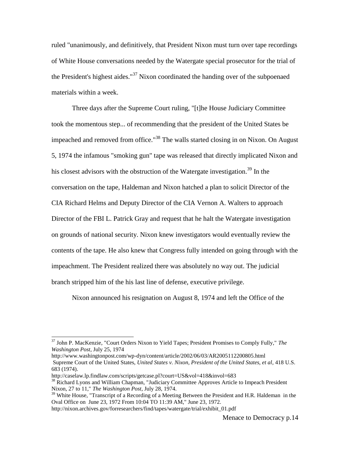ruled "unanimously, and definitively, that President Nixon must turn over tape recordings of White House conversations needed by the Watergate special prosecutor for the trial of the President's highest aides."<sup>37</sup> Nixon coordinated the handing over of the subpoenaed materials within a week.

Three days after the Supreme Court ruling, "[t]he House Judiciary Committee took the momentous step... of recommending that the president of the United States be impeached and removed from office."<sup>38</sup> The walls started closing in on Nixon. On August 5, 1974 the infamous "smoking gun" tape was released that directly implicated Nixon and his closest advisors with the obstruction of the Watergate investigation.<sup>39</sup> In the conversation on the tape, Haldeman and Nixon hatched a plan to solicit Director of the CIA Richard Helms and Deputy Director of the CIA Vernon A. Walters to approach Director of the FBI L. Patrick Gray and request that he halt the Watergate investigation on grounds of national security. Nixon knew investigators would eventually review the contents of the tape. He also knew that Congress fully intended on going through with the impeachment. The President realized there was absolutely no way out. The judicial branch stripped him of the his last line of defense, executive privilege.

Nixon announced his resignation on August 8, 1974 and left the Office of the

<sup>37</sup> John P. MacKenzie, "Court Orders Nixon to Yield Tapes; President Promises to Comply Fully," *The Washington Post*, July 25, 1974

http://www.washingtonpost.com/wp-dyn/content/article/2002/06/03/AR2005112200805.html Supreme Court of the United States, *United States v. Nixon, President of the United States, et al*, 418 U.S. 683 (1974).

http://caselaw.lp.findlaw.com/scripts/getcase.pl?court=US&vol=418&invol=683

<sup>&</sup>lt;sup>38</sup> Richard Lyons and William Chapman, "Judiciary Committee Approves Article to Impeach President Nixon, 27 to 11," *The Washington Post*, July 28, 1974.

<sup>&</sup>lt;sup>39</sup> White House, "Transcript of a Recording of a Meeting Between the President and H.R. Haldeman in the Oval Office on June 23, 1972 From 10:04 TO 11:39 AM," June 23, 1972.

http://nixon.archives.gov/forresearchers/find/tapes/watergate/trial/exhibit\_01.pdf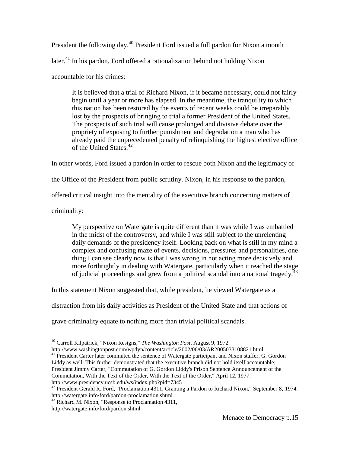President the following day.<sup>40</sup> President Ford issued a full pardon for Nixon a month later.<sup>41</sup> In his pardon, Ford offered a rationalization behind not holding Nixon accountable for his crimes:

It is believed that a trial of Richard Nixon, if it became necessary, could not fairly begin until a year or more has elapsed. In the meantime, the tranquility to which this nation has been restored by the events of recent weeks could be irreparably lost by the prospects of bringing to trial a former President of the United States. The prospects of such trial will cause prolonged and divisive debate over the propriety of exposing to further punishment and degradation a man who has already paid the unprecedented penalty of relinquishing the highest elective office of the United States.<sup>42</sup>

In other words, Ford issued a pardon in order to rescue both Nixon and the legitimacy of

the Office of the President from public scrutiny. Nixon, in his response to the pardon,

offered critical insight into the mentality of the executive branch concerning matters of

criminality:

 $\overline{a}$ 

My perspective on Watergate is quite different than it was while I was embattled in the midst of the controversy, and while I was still subject to the unrelenting daily demands of the presidency itself. Looking back on what is still in my mind a complex and confusing maze of events, decisions, pressures and personalities, one thing I can see clearly now is that I was wrong in not acting more decisively and more forthrightly in dealing with Watergate, particularly when it reached the stage of judicial proceedings and grew from a political scandal into a national tragedy.<sup>43</sup>

In this statement Nixon suggested that, while president, he viewed Watergate as a

distraction from his daily activities as President of the United State and that actions of

grave criminality equate to nothing more than trivial political scandals.

http://www.washingtonpost.com/wpdyn/content/article/2002/06/03/AR2005033108821.html  $41$  President Carter later commuted the sentence of Watergate participant and Nixon staffer, G. Gordon Liddy as well. This further demonstrated that the executive branch did not hold itself accountable; President Jimmy Carter, "Commutation of G. Gordon Liddy's Prison Sentence Announcement of the Commutation, With the Text of the Order, With the Text of the Order," April 12, 1977.

http://www.presidency.ucsb.edu/ws/index.php?pid=7345

<sup>40</sup> Carroll Kilpatrick, "Nixon Resigns," *The Washington Post*, August 9, 1972.

<sup>&</sup>lt;sup>42</sup> President Gerald R. Ford, "Proclamation 4311, Granting a Pardon to Richard Nixon," September 8, 1974. http://watergate.info/ford/pardon-proclamation.shtml

<sup>&</sup>lt;sup>43</sup> Richard M. Nixon, "Response to Proclamation 4311," http://watergate.info/ford/pardon.shtml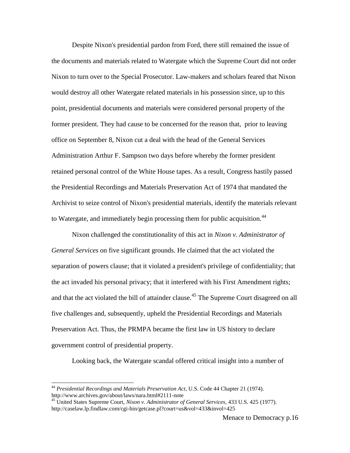Despite Nixon's presidential pardon from Ford, there still remained the issue of the documents and materials related to Watergate which the Supreme Court did not order Nixon to turn over to the Special Prosecutor. Law-makers and scholars feared that Nixon would destroy all other Watergate related materials in his possession since, up to this point, presidential documents and materials were considered personal property of the former president. They had cause to be concerned for the reason that, prior to leaving office on September 8, Nixon cut a deal with the head of the General Services Administration Arthur F. Sampson two days before whereby the former president retained personal control of the White House tapes. As a result, Congress hastily passed the Presidential Recordings and Materials Preservation Act of 1974 that mandated the Archivist to seize control of Nixon's presidential materials, identify the materials relevant to Watergate, and immediately begin processing them for public acquisition.<sup>44</sup>

Nixon challenged the constitutionality of this act in *Nixon v. Administrator of General Services* on five significant grounds. He claimed that the act violated the separation of powers clause; that it violated a president's privilege of confidentiality; that the act invaded his personal privacy; that it interfered with his First Amendment rights; and that the act violated the bill of attainder clause.<sup>45</sup> The Supreme Court disagreed on all five challenges and, subsequently, upheld the Presidential Recordings and Materials Preservation Act. Thus, the PRMPA became the first law in US history to declare government control of presidential property.

Looking back, the Watergate scandal offered critical insight into a number of

<sup>44</sup> *Presidential Recordings and Materials Preservation Act*, U.S. Code 44 Chapter 21 (1974). http://www.archives.gov/about/laws/nara.html#2111-note

<sup>45</sup> United States Supreme Court, *Nixon v. Administrator of General Services*, 433 U.S. 425 (1977). http://caselaw.lp.findlaw.com/cgi-bin/getcase.pl?court=us&vol=433&invol=425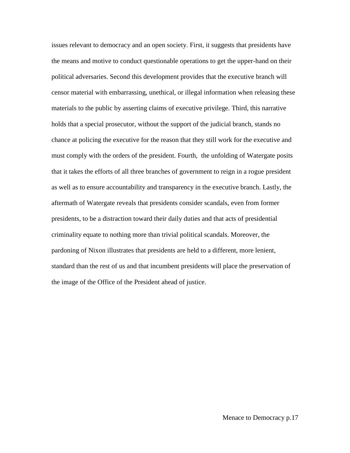issues relevant to democracy and an open society. First, it suggests that presidents have the means and motive to conduct questionable operations to get the upper-hand on their political adversaries. Second this development provides that the executive branch will censor material with embarrassing, unethical, or illegal information when releasing these materials to the public by asserting claims of executive privilege. Third, this narrative holds that a special prosecutor, without the support of the judicial branch, stands no chance at policing the executive for the reason that they still work for the executive and must comply with the orders of the president. Fourth, the unfolding of Watergate posits that it takes the efforts of all three branches of government to reign in a rogue president as well as to ensure accountability and transparency in the executive branch. Lastly, the aftermath of Watergate reveals that presidents consider scandals, even from former presidents, to be a distraction toward their daily duties and that acts of presidential criminality equate to nothing more than trivial political scandals. Moreover, the pardoning of Nixon illustrates that presidents are held to a different, more lenient, standard than the rest of us and that incumbent presidents will place the preservation of the image of the Office of the President ahead of justice.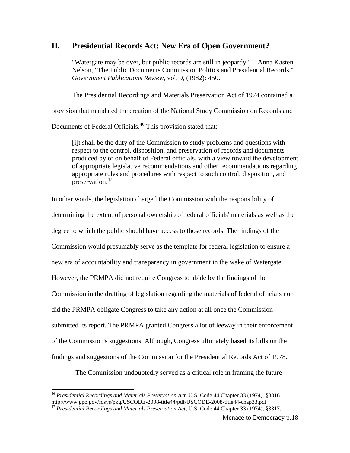# **II. Presidential Records Act: New Era of Open Government?**

"Watergate may be over, but public records are still in jeopardy."—Anna Kasten Nelson, "The Public Documents Commission Politics and Presidential Records," *Government Publications Review*, vol. 9, (1982): 450.

The Presidential Recordings and Materials Preservation Act of 1974 contained a

provision that mandated the creation of the National Study Commission on Records and

Documents of Federal Officials.<sup>46</sup> This provision stated that:

[i]t shall be the duty of the Commission to study problems and questions with respect to the control, disposition, and preservation of records and documents produced by or on behalf of Federal officials, with a view toward the development of appropriate legislative recommendations and other recommendations regarding appropriate rules and procedures with respect to such control, disposition, and preservation.<sup>47</sup>

In other words, the legislation charged the Commission with the responsibility of determining the extent of personal ownership of federal officials' materials as well as the degree to which the public should have access to those records. The findings of the Commission would presumably serve as the template for federal legislation to ensure a new era of accountability and transparency in government in the wake of Watergate. However, the PRMPA did not require Congress to abide by the findings of the Commission in the drafting of legislation regarding the materials of federal officials nor did the PRMPA obligate Congress to take any action at all once the Commission submitted its report. The PRMPA granted Congress a lot of leeway in their enforcement of the Commission's suggestions. Although, Congress ultimately based its bills on the findings and suggestions of the Commission for the Presidential Records Act of 1978.

The Commission undoubtedly served as a critical role in framing the future

l

<sup>46</sup> *Presidential Recordings and Materials Preservation Act*, U.S. Code 44 Chapter 33 (1974), §3316. http://www.gpo.gov/fdsys/pkg/USCODE-2008-title44/pdf/USCODE-2008-title44-chap33.pdf

<sup>47</sup> *Presidential Recordings and Materials Preservation Act*, U.S. Code 44 Chapter 33 (1974), §3317.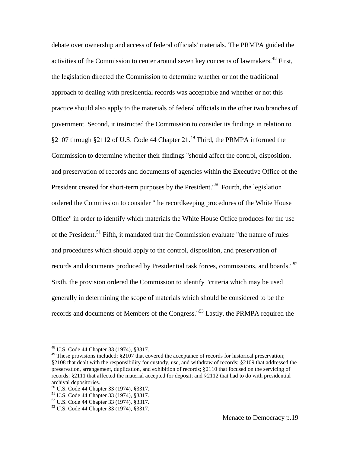debate over ownership and access of federal officials' materials. The PRMPA guided the activities of the Commission to center around seven key concerns of lawmakers.<sup>48</sup> First, the legislation directed the Commission to determine whether or not the traditional approach to dealing with presidential records was acceptable and whether or not this practice should also apply to the materials of federal officials in the other two branches of government. Second, it instructed the Commission to consider its findings in relation to §2107 through §2112 of U.S. Code 44 Chapter 21.<sup>49</sup> Third, the PRMPA informed the Commission to determine whether their findings "should affect the control, disposition, and preservation of records and documents of agencies within the Executive Office of the President created for short-term purposes by the President."<sup>50</sup> Fourth, the legislation ordered the Commission to consider "the recordkeeping procedures of the White House Office" in order to identify which materials the White House Office produces for the use of the President.<sup>51</sup> Fifth, it mandated that the Commission evaluate "the nature of rules" and procedures which should apply to the control, disposition, and preservation of records and documents produced by Presidential task forces, commissions, and boards."<sup>52</sup> Sixth, the provision ordered the Commission to identify "criteria which may be used generally in determining the scope of materials which should be considered to be the records and documents of Members of the Congress."<sup>53</sup> Lastly, the PRMPA required the

<sup>48</sup> U.S. Code 44 Chapter 33 (1974), §3317.

<sup>&</sup>lt;sup>49</sup> These provisions included: §2107 that covered the acceptance of records for historical preservation; §2108 that dealt with the responsibility for custody, use, and withdraw of records; §2109 that addressed the preservation, arrangement, duplication, and exhibition of records; §2110 that focused on the servicing of records; §2111 that affected the material accepted for deposit; and §2112 that had to do with presidential archival depositories.

<sup>50</sup> U.S. Code 44 Chapter 33 (1974), §3317.

<sup>51</sup> U.S. Code 44 Chapter 33 (1974), §3317.

<sup>52</sup> U.S. Code 44 Chapter 33 (1974), §3317.

<sup>53</sup> U.S. Code 44 Chapter 33 (1974), §3317.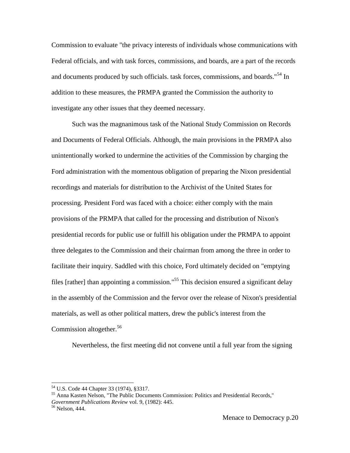Commission to evaluate "the privacy interests of individuals whose communications with Federal officials, and with task forces, commissions, and boards, are a part of the records and documents produced by such officials. task forces, commissions, and boards."<sup>54</sup> In addition to these measures, the PRMPA granted the Commission the authority to investigate any other issues that they deemed necessary.

Such was the magnanimous task of the National Study Commission on Records and Documents of Federal Officials. Although, the main provisions in the PRMPA also unintentionally worked to undermine the activities of the Commission by charging the Ford administration with the momentous obligation of preparing the Nixon presidential recordings and materials for distribution to the Archivist of the United States for processing. President Ford was faced with a choice: either comply with the main provisions of the PRMPA that called for the processing and distribution of Nixon's presidential records for public use or fulfill his obligation under the PRMPA to appoint three delegates to the Commission and their chairman from among the three in order to facilitate their inquiry. Saddled with this choice, Ford ultimately decided on "emptying files [rather] than appointing a commission."<sup>55</sup> This decision ensured a significant delay in the assembly of the Commission and the fervor over the release of Nixon's presidential materials, as well as other political matters, drew the public's interest from the Commission altogether. 56

Nevertheless, the first meeting did not convene until a full year from the signing

<sup>54</sup> U.S. Code 44 Chapter 33 (1974), §3317.

<sup>55</sup> Anna Kasten Nelson, "The Public Documents Commission: Politics and Presidential Records," *Government Publications Review* vol. 9, (1982): 445.

<sup>56</sup> Nelson, 444.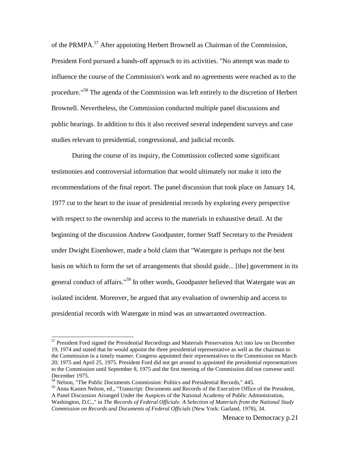of the PRMPA.<sup>57</sup> After appointing Herbert Brownell as Chairman of the Commission, President Ford pursued a hands-off approach to its activities. "No attempt was made to influence the course of the Commission's work and no agreements were reached as to the procedure."<sup>58</sup> The agenda of the Commission was left entirely to the discretion of Herbert Brownell. Nevertheless, the Commission conducted multiple panel discussions and public hearings. In addition to this it also received several independent surveys and case studies relevant to presidential, congressional, and judicial records.

During the course of its inquiry, the Commission collected some significant testimonies and controversial information that would ultimately not make it into the recommendations of the final report. The panel discussion that took place on January 14, 1977 cut to the heart to the issue of presidential records by exploring every perspective with respect to the ownership and access to the materials in exhaustive detail. At the beginning of the discussion Andrew Goodpaster, former Staff Secretary to the President under Dwight Eisenhower, made a bold claim that "Watergate is perhaps not the best basis on which to form the set of arrangements that should guide... [the] government in its general conduct of affairs."<sup>59</sup> In other words, Goodpaster believed that Watergate was an isolated incident. Moreover, he argued that any evaluation of ownership and access to presidential records with Watergate in mind was an unwarranted overreaction.

<sup>&</sup>lt;sup>57</sup> President Ford signed the Presidential Recordings and Materials Preservation Act into law on December 19, 1974 and stated that he would appoint the three presidential representative as well as the chairman to the Commission in a timely manner. Congress appointed their representatives to the Commission on March 20, 1975 and April 25, 1975. President Ford did not get around to appointed the presidential representatives to the Commission until September 8, 1975 and the first meeting of the Commission did not convene until December 1975.

<sup>58</sup> Nelson, "The Public Documents Commission: Politics and Presidential Records," 445.

<sup>&</sup>lt;sup>59</sup> Anna Kasten Nelson, ed., "Transcript: Documents and Records of the Executive Office of the President, A Panel Discussion Arranged Under the Auspices of the National Academy of Public Administration,

Washington, D.C.," in *The Records of Federal Officials: A Selection of Materials from the National Study Commission on Records and Documents of Federal Officials* (New York: Garland, 1978), 34.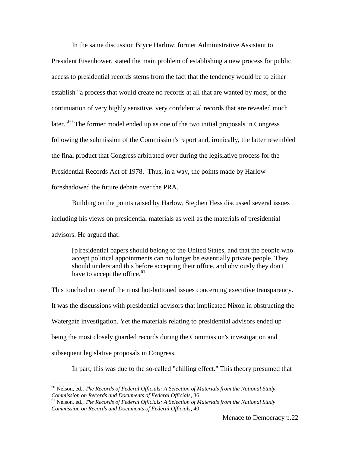In the same discussion Bryce Harlow, former Administrative Assistant to President Eisenhower, stated the main problem of establishing a new process for public access to presidential records stems from the fact that the tendency would be to either establish "a process that would create no records at all that are wanted by most, or the continuation of very highly sensitive, very confidential records that are revealed much later."<sup>60</sup> The former model ended up as one of the two initial proposals in Congress following the submission of the Commission's report and, ironically, the latter resembled the final product that Congress arbitrated over during the legislative process for the Presidential Records Act of 1978. Thus, in a way, the points made by Harlow foreshadowed the future debate over the PRA.

Building on the points raised by Harlow, Stephen Hess discussed several issues including his views on presidential materials as well as the materials of presidential advisors. He argued that:

[p]residential papers should belong to the United States, and that the people who accept political appointments can no longer be essentially private people. They should understand this before accepting their office, and obviously they don't have to accept the office. $61$ 

This touched on one of the most hot-buttoned issues concerning executive transparency. It was the discussions with presidential advisors that implicated Nixon in obstructing the Watergate investigation. Yet the materials relating to presidential advisors ended up being the most closely guarded records during the Commission's investigation and subsequent legislative proposals in Congress.

In part, this was due to the so-called "chilling effect." This theory presumed that

<sup>60</sup> Nelson, ed., *The Records of Federal Officials: A Selection of Materials from the National Study Commission on Records and Documents of Federal Officials*, 36.

<sup>61</sup> Nelson, ed., *The Records of Federal Officials: A Selection of Materials from the National Study Commission on Records and Documents of Federal Officials*, 40.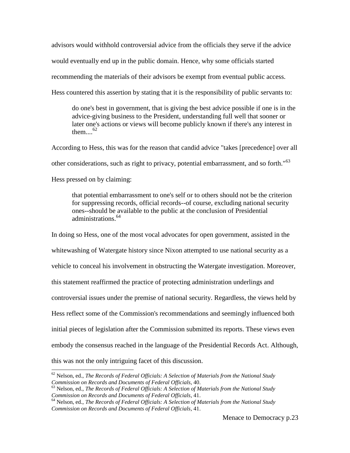advisors would withhold controversial advice from the officials they serve if the advice would eventually end up in the public domain. Hence, why some officials started recommending the materials of their advisors be exempt from eventual public access. Hess countered this assertion by stating that it is the responsibility of public servants to:

do one's best in government, that is giving the best advice possible if one is in the advice-giving business to the President, understanding full well that sooner or later one's actions or views will become publicly known if there's any interest in them... $^{62}$ 

According to Hess, this was for the reason that candid advice "takes [precedence] over all other considerations, such as right to privacy, potential embarrassment, and so forth."<sup>63</sup> Hess pressed on by claiming:

that potential embarrassment to one's self or to others should not be the criterion for suppressing records, official records--of course, excluding national security ones--should be available to the public at the conclusion of Presidential administrations.<sup>64</sup>

In doing so Hess, one of the most vocal advocates for open government, assisted in the whitewashing of Watergate history since Nixon attempted to use national security as a vehicle to conceal his involvement in obstructing the Watergate investigation. Moreover, this statement reaffirmed the practice of protecting administration underlings and controversial issues under the premise of national security. Regardless, the views held by Hess reflect some of the Commission's recommendations and seemingly influenced both initial pieces of legislation after the Commission submitted its reports. These views even embody the consensus reached in the language of the Presidential Records Act. Although, this was not the only intriguing facet of this discussion.

 $\overline{a}$ <sup>62</sup> Nelson, ed., *The Records of Federal Officials: A Selection of Materials from the National Study Commission on Records and Documents of Federal Officials*, 40.

<sup>63</sup> Nelson, ed., *The Records of Federal Officials: A Selection of Materials from the National Study Commission on Records and Documents of Federal Officials*, 41.

<sup>64</sup> Nelson, ed., *The Records of Federal Officials: A Selection of Materials from the National Study Commission on Records and Documents of Federal Officials*, 41.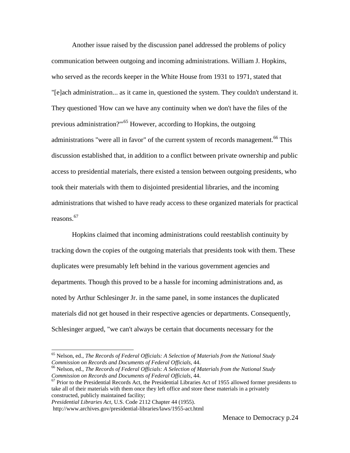Another issue raised by the discussion panel addressed the problems of policy communication between outgoing and incoming administrations. William J. Hopkins, who served as the records keeper in the White House from 1931 to 1971, stated that "[e]ach administration... as it came in, questioned the system. They couldn't understand it. They questioned 'How can we have any continuity when we don't have the files of the previous administration?"<sup>65</sup> However, according to Hopkins, the outgoing administrations "were all in favor" of the current system of records management.<sup>66</sup> This discussion established that, in addition to a conflict between private ownership and public access to presidential materials, there existed a tension between outgoing presidents, who took their materials with them to disjointed presidential libraries, and the incoming administrations that wished to have ready access to these organized materials for practical reasons. 67

Hopkins claimed that incoming administrations could reestablish continuity by tracking down the copies of the outgoing materials that presidents took with them. These duplicates were presumably left behind in the various government agencies and departments. Though this proved to be a hassle for incoming administrations and, as noted by Arthur Schlesinger Jr. in the same panel, in some instances the duplicated materials did not get housed in their respective agencies or departments. Consequently, Schlesinger argued, "we can't always be certain that documents necessary for the

l

<sup>65</sup> Nelson, ed., *The Records of Federal Officials: A Selection of Materials from the National Study Commission on Records and Documents of Federal Officials*, 44.

<sup>66</sup> Nelson, ed., *The Records of Federal Officials: A Selection of Materials from the National Study Commission on Records and Documents of Federal Officials*, 44.

 $67$  Prior to the Presidential Records Act, the Presidential Libraries Act of 1955 allowed former presidents to take all of their materials with them once they left office and store these materials in a privately constructed, publicly maintained facility;

*Presidential Libraries Act*, U.S. Code 2112 Chapter 44 (1955).

http://www.archives.gov/presidential-libraries/laws/1955-act.html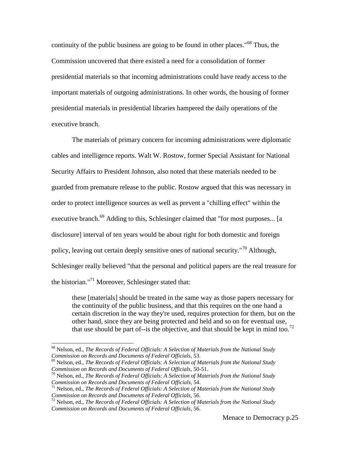continuity of the public business are going to be found in other places."<sup>68</sup> Thus, the Commission uncovered that there existed a need for a consolidation of former presidential materials so that incoming administrations could have ready access to the important materials of outgoing administrations. In other words, the housing of former presidential materials in presidential libraries hampered the daily operations of the executive branch.

The materials of primary concern for incoming administrations were diplomatic cables and intelligence reports. Walt W. Rostow, former Special Assistant for National Security Affairs to President Johnson, also noted that these materials needed to be guarded from premature release to the public. Rostow argued that this was necessary in order to protect intelligence sources as well as prevent a "chilling effect" within the executive branch.<sup>69</sup> Adding to this, Schlesinger claimed that "for most purposes... [a disclosure] interval of ten years would be about right for both domestic and foreign policy, leaving out certain deeply sensitive ones of national security."<sup>70</sup> Although, Schlesinger really believed "that the personal and political papers are the real treasure for the historian."<sup>71</sup> Moreover, Schlesinger stated that:

these [materials] should be treated in the same way as those papers necessary for the continuity of the public business, and that this requires on the one hand a certain discretion in the way they're used, requires protection for them, but on the other hand, since they are being protected and held and so on for eventual use, that use should be part of--is the objective, and that should be kept in mind too.<sup>72</sup>

<sup>68</sup> Nelson, ed., *The Records of Federal Officials: A Selection of Materials from the National Study Commission on Records and Documents of Federal Officials*, 53.

<sup>69</sup> Nelson, ed., *The Records of Federal Officials: A Selection of Materials from the National Study Commission on Records and Documents of Federal Officials*, 50-51.

<sup>70</sup> Nelson, ed., *The Records of Federal Officials: A Selection of Materials from the National Study Commission on Records and Documents of Federal Officials*, 54.

<sup>71</sup> Nelson, ed., *The Records of Federal Officials: A Selection of Materials from the National Study Commission on Records and Documents of Federal Officials*, 56.

<sup>72</sup> Nelson, ed., *The Records of Federal Officials: A Selection of Materials from the National Study Commission on Records and Documents of Federal Officials*, 56.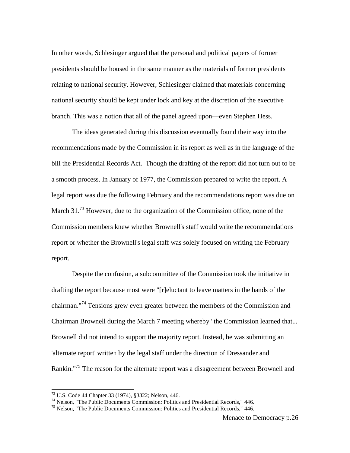In other words, Schlesinger argued that the personal and political papers of former presidents should be housed in the same manner as the materials of former presidents relating to national security. However, Schlesinger claimed that materials concerning national security should be kept under lock and key at the discretion of the executive branch. This was a notion that all of the panel agreed upon—even Stephen Hess.

The ideas generated during this discussion eventually found their way into the recommendations made by the Commission in its report as well as in the language of the bill the Presidential Records Act. Though the drafting of the report did not turn out to be a smooth process. In January of 1977, the Commission prepared to write the report. A legal report was due the following February and the recommendations report was due on March 31.<sup>73</sup> However, due to the organization of the Commission office, none of the Commission members knew whether Brownell's staff would write the recommendations report or whether the Brownell's legal staff was solely focused on writing the February report.

Despite the confusion, a subcommittee of the Commission took the initiative in drafting the report because most were "[r]eluctant to leave matters in the hands of the chairman."<sup>74</sup> Tensions grew even greater between the members of the Commission and Chairman Brownell during the March 7 meeting whereby "the Commission learned that... Brownell did not intend to support the majority report. Instead, he was submitting an 'alternate report' written by the legal staff under the direction of Dressander and Rankin."<sup>75</sup> The reason for the alternate report was a disagreement between Brownell and

l

<sup>73</sup> U.S. Code 44 Chapter 33 (1974), §3322; Nelson, 446.

<sup>&</sup>lt;sup>74</sup> Nelson, "The Public Documents Commission: Politics and Presidential Records," 446.

 $<sup>75</sup>$  Nelson, "The Public Documents Commission: Politics and Presidential Records," 446.</sup>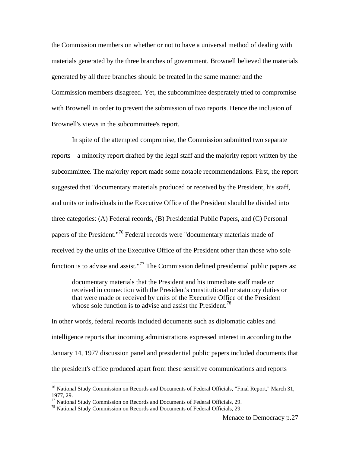the Commission members on whether or not to have a universal method of dealing with materials generated by the three branches of government. Brownell believed the materials generated by all three branches should be treated in the same manner and the Commission members disagreed. Yet, the subcommittee desperately tried to compromise with Brownell in order to prevent the submission of two reports. Hence the inclusion of Brownell's views in the subcommittee's report.

In spite of the attempted compromise, the Commission submitted two separate reports—a minority report drafted by the legal staff and the majority report written by the subcommittee. The majority report made some notable recommendations. First, the report suggested that "documentary materials produced or received by the President, his staff, and units or individuals in the Executive Office of the President should be divided into three categories: (A) Federal records, (B) Presidential Public Papers, and (C) Personal papers of the President."<sup>76</sup> Federal records were "documentary materials made of received by the units of the Executive Office of the President other than those who sole function is to advise and assist."<sup>77</sup> The Commission defined presidential public papers as:

documentary materials that the President and his immediate staff made or received in connection with the President's constitutional or statutory duties or that were made or received by units of the Executive Office of the President whose sole function is to advise and assist the President.<sup>78</sup>

In other words, federal records included documents such as diplomatic cables and intelligence reports that incoming administrations expressed interest in according to the January 14, 1977 discussion panel and presidential public papers included documents that the president's office produced apart from these sensitive communications and reports

<sup>&</sup>lt;sup>76</sup> National Study Commission on Records and Documents of Federal Officials, "Final Report," March 31, 1977, 29.

 $77$  National Study Commission on Records and Documents of Federal Officials, 29.

<sup>&</sup>lt;sup>78</sup> National Study Commission on Records and Documents of Federal Officials, 29.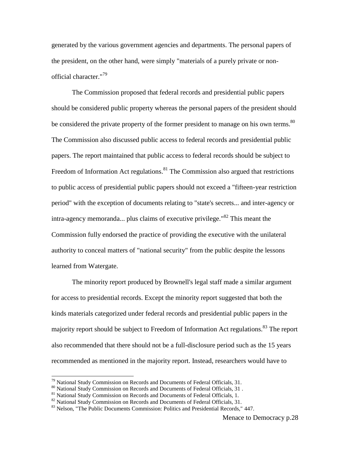generated by the various government agencies and departments. The personal papers of the president, on the other hand, were simply "materials of a purely private or nonofficial character."<sup>79</sup>

The Commission proposed that federal records and presidential public papers should be considered public property whereas the personal papers of the president should be considered the private property of the former president to manage on his own terms.<sup>80</sup> The Commission also discussed public access to federal records and presidential public papers. The report maintained that public access to federal records should be subject to Freedom of Information Act regulations. $81$  The Commission also argued that restrictions to public access of presidential public papers should not exceed a "fifteen-year restriction period" with the exception of documents relating to "state's secrets... and inter-agency or intra-agency memoranda... plus claims of executive privilege."<sup>82</sup> This meant the Commission fully endorsed the practice of providing the executive with the unilateral authority to conceal matters of "national security" from the public despite the lessons learned from Watergate.

The minority report produced by Brownell's legal staff made a similar argument for access to presidential records. Except the minority report suggested that both the kinds materials categorized under federal records and presidential public papers in the majority report should be subject to Freedom of Information Act regulations.<sup>83</sup> The report also recommended that there should not be a full-disclosure period such as the 15 years recommended as mentioned in the majority report. Instead, researchers would have to

 $^{79}$  National Study Commission on Records and Documents of Federal Officials, 31.

<sup>80</sup> National Study Commission on Records and Documents of Federal Officials, 31 .

<sup>&</sup>lt;sup>81</sup> National Study Commission on Records and Documents of Federal Officials, 1.

 $82$  National Study Commission on Records and Documents of Federal Officials, 31.

<sup>&</sup>lt;sup>83</sup> Nelson, "The Public Documents Commission: Politics and Presidential Records," 447.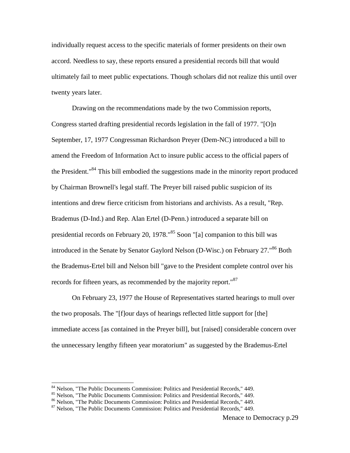individually request access to the specific materials of former presidents on their own accord. Needless to say, these reports ensured a presidential records bill that would ultimately fail to meet public expectations. Though scholars did not realize this until over twenty years later.

Drawing on the recommendations made by the two Commission reports, Congress started drafting presidential records legislation in the fall of 1977. "[O]n September, 17, 1977 Congressman Richardson Preyer (Dem-NC) introduced a bill to amend the Freedom of Information Act to insure public access to the official papers of the President."<sup>84</sup> This bill embodied the suggestions made in the minority report produced by Chairman Brownell's legal staff. The Preyer bill raised public suspicion of its intentions and drew fierce criticism from historians and archivists. As a result, "Rep. Brademus (D-Ind.) and Rep. Alan Ertel (D-Penn.) introduced a separate bill on presidential records on February 20, 1978."<sup>85</sup> Soon "[a] companion to this bill was introduced in the Senate by Senator Gaylord Nelson (D-Wisc.) on February 27."<sup>86</sup> Both the Brademus-Ertel bill and Nelson bill "gave to the President complete control over his records for fifteen years, as recommended by the majority report."<sup>87</sup>

On February 23, 1977 the House of Representatives started hearings to mull over the two proposals. The "[f]our days of hearings reflected little support for [the] immediate access [as contained in the Preyer bill], but [raised] considerable concern over the unnecessary lengthy fifteen year moratorium" as suggested by the Brademus-Ertel

<sup>&</sup>lt;sup>84</sup> Nelson, "The Public Documents Commission: Politics and Presidential Records," 449.

<sup>85</sup> Nelson, "The Public Documents Commission: Politics and Presidential Records," 449.

<sup>86</sup> Nelson, "The Public Documents Commission: Politics and Presidential Records," 449.

<sup>87</sup> Nelson, "The Public Documents Commission: Politics and Presidential Records," 449.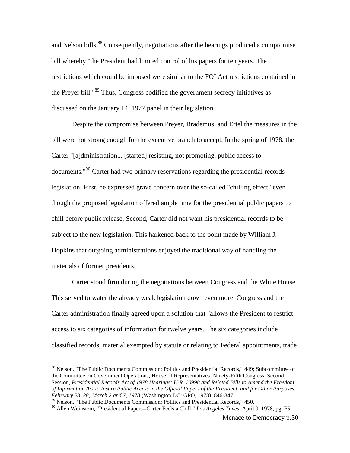and Nelson bills.<sup>88</sup> Consequently, negotiations after the hearings produced a compromise bill whereby "the President had limited control of his papers for ten years. The restrictions which could be imposed were similar to the FOI Act restrictions contained in the Preyer bill."<sup>89</sup> Thus, Congress codified the government secrecy initiatives as discussed on the January 14, 1977 panel in their legislation.

Despite the compromise between Preyer, Brademus, and Ertel the measures in the bill were not strong enough for the executive branch to accept. In the spring of 1978, the Carter "[a]dministration... [started] resisting, not promoting, public access to documents.<sup>"90</sup> Carter had two primary reservations regarding the presidential records legislation. First, he expressed grave concern over the so-called "chilling effect" even though the proposed legislation offered ample time for the presidential public papers to chill before public release. Second, Carter did not want his presidential records to be subject to the new legislation. This harkened back to the point made by William J. Hopkins that outgoing administrations enjoyed the traditional way of handling the materials of former presidents.

Carter stood firm during the negotiations between Congress and the White House. This served to water the already weak legislation down even more. Congress and the Carter administration finally agreed upon a solution that "allows the President to restrict access to six categories of information for twelve years. The six categories include classified records, material exempted by statute or relating to Federal appointments, trade

<sup>&</sup>lt;sup>88</sup> Nelson, "The Public Documents Commission: Politics and Presidential Records," 449; Subcommittee of the Committee on Government Operations, House of Representatives, Ninety-Fifth Congress, Second Session, *Presidential Records Act of 1978 Hearings: H.R. 10998 and Related Bills to Amend the Freedom of Information Act to Insure Public Access to the Official Papers of the President, and for Other Purposes, February 23, 28; March 2 and 7, 1978* (Washington DC: GPO, 1978), 846-847.

<sup>89</sup> Nelson, "The Public Documents Commission: Politics and Presidential Records," 450.

<sup>90</sup> Allen Weinstein, "Presidential Papers--Carter Feels a Chill," *Los Angeles Times*, April 9, 1978, pg, F5.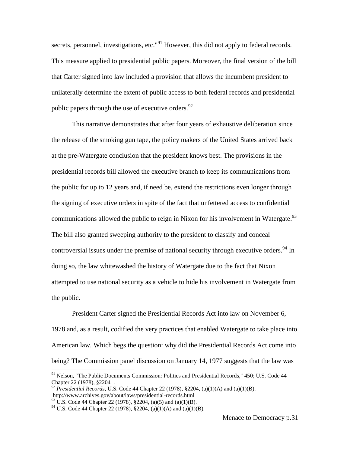secrets, personnel, investigations, etc."<sup>91</sup> However, this did not apply to federal records. This measure applied to presidential public papers. Moreover, the final version of the bill that Carter signed into law included a provision that allows the incumbent president to unilaterally determine the extent of public access to both federal records and presidential public papers through the use of executive orders.<sup>92</sup>

This narrative demonstrates that after four years of exhaustive deliberation since the release of the smoking gun tape, the policy makers of the United States arrived back at the pre-Watergate conclusion that the president knows best. The provisions in the presidential records bill allowed the executive branch to keep its communications from the public for up to 12 years and, if need be, extend the restrictions even longer through the signing of executive orders in spite of the fact that unfettered access to confidential communications allowed the public to reign in Nixon for his involvement in Watergate.<sup>93</sup> The bill also granted sweeping authority to the president to classify and conceal controversial issues under the premise of national security through executive orders.<sup>94</sup> In doing so, the law whitewashed the history of Watergate due to the fact that Nixon attempted to use national security as a vehicle to hide his involvement in Watergate from the public.

President Carter signed the Presidential Records Act into law on November 6, 1978 and, as a result, codified the very practices that enabled Watergate to take place into American law. Which begs the question: why did the Presidential Records Act come into being? The Commission panel discussion on January 14, 1977 suggests that the law was

<sup>&</sup>lt;sup>91</sup> Nelson, "The Public Documents Commission: Politics and Presidential Records," 450; U.S. Code 44 Chapter 22 (1978), §2204 .

<sup>&</sup>lt;sup>92</sup> *Presidential Records*, U.S. Code 44 Chapter 22 (1978), §2204, (a)(1)(A) and (a)(1)(B). http://www.archives.gov/about/laws/presidential-records.html

<sup>&</sup>lt;sup>93</sup> U.S. Code 44 Chapter 22 (1978),  $\S$ 2204, (a)(5) and (a)(1)(B).

<sup>&</sup>lt;sup>94</sup> U.S. Code 44 Chapter 22 (1978), §2204, (a)(1)(A) and (a)(1)(B).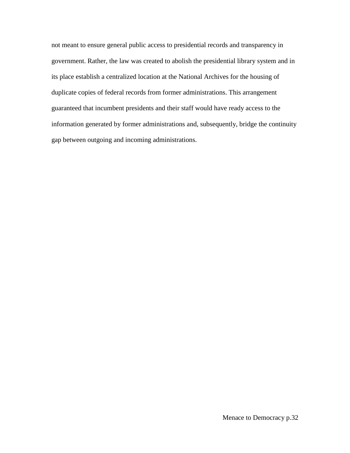not meant to ensure general public access to presidential records and transparency in government. Rather, the law was created to abolish the presidential library system and in its place establish a centralized location at the National Archives for the housing of duplicate copies of federal records from former administrations. This arrangement guaranteed that incumbent presidents and their staff would have ready access to the information generated by former administrations and, subsequently, bridge the continuity gap between outgoing and incoming administrations.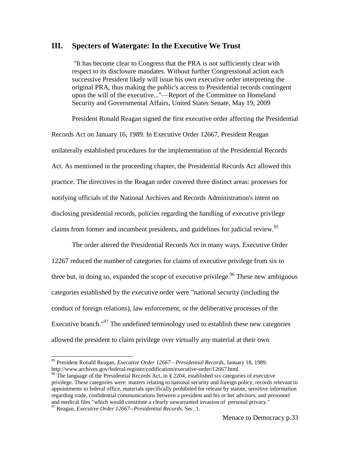## **III. Specters of Watergate: In the Executive We Trust**

"It has become clear to Congress that the PRA is not sufficiently clear with respect to its disclosure mandates. Without further Congressional action each successive President likely will issue his own executive order interpreting the original PRA, thus making the public's access to Presidential records contingent upon the will of the executive..."—Report of the Committee on Homeland Security and Governmental Affairs, United States Senate, May 19, 2009

President Ronald Reagan signed the first executive order affecting the Presidential Records Act on January 16, 1989. In Executive Order 12667, President Reagan unilaterally established procedures for the implementation of the Presidential Records Act. As mentioned in the proceeding chapter, the Presidential Records Act allowed this practice. The directives in the Reagan order covered three distinct areas: processes for notifying officials of the National Archives and Records Administration's intent on disclosing presidential records, policies regarding the handling of executive privilege claims from former and incumbent presidents, and guidelines for judicial review.<sup>95</sup>

The order altered the Presidential Records Act in many ways. Executive Order 12267 reduced the number of categories for claims of executive privilege from six to three but, in doing so, expanded the scope of executive privilege.<sup>96</sup> These new ambiguous categories established by the executive order were "national security (including the conduct of foreign relations), law enforcement, or the deliberative processes of the Executive branch."<sup>97</sup> The undefined terminology used to establish these new categories allowed the president to claim privilege over virtually any material at their own

<sup>95</sup> President Ronald Reagan, *Executive Order 12667—Presidential Records*, January 18, 1989. http://www.archives.gov/federal-register/codification/executive-order/12667.html

 $96$  The language of the Presidential Records Act, in § 2204, established six categories of executive privilege. These categories were: matters relating to national security and foreign policy, records relevant to appointments to federal office, materials specifically prohibited for release by statute, sensitive information regarding trade, confidential communications between a president and his or her advisors, and personnel and medical files "which would constitute a clearly unwarranted invasion of personal privacy."

<sup>97</sup> Reagan, *Executive Order 12667--Presidential Records*, Sec. 1.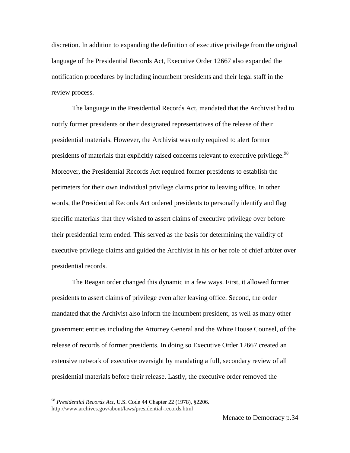discretion. In addition to expanding the definition of executive privilege from the original language of the Presidential Records Act, Executive Order 12667 also expanded the notification procedures by including incumbent presidents and their legal staff in the review process.

The language in the Presidential Records Act, mandated that the Archivist had to notify former presidents or their designated representatives of the release of their presidential materials. However, the Archivist was only required to alert former presidents of materials that explicitly raised concerns relevant to executive privilege.<sup>98</sup> Moreover, the Presidential Records Act required former presidents to establish the perimeters for their own individual privilege claims prior to leaving office. In other words, the Presidential Records Act ordered presidents to personally identify and flag specific materials that they wished to assert claims of executive privilege over before their presidential term ended. This served as the basis for determining the validity of executive privilege claims and guided the Archivist in his or her role of chief arbiter over presidential records.

The Reagan order changed this dynamic in a few ways. First, it allowed former presidents to assert claims of privilege even after leaving office. Second, the order mandated that the Archivist also inform the incumbent president, as well as many other government entities including the Attorney General and the White House Counsel, of the release of records of former presidents. In doing so Executive Order 12667 created an extensive network of executive oversight by mandating a full, secondary review of all presidential materials before their release. Lastly, the executive order removed the

<sup>98</sup> *Presidential Records Act*, U.S. Code 44 Chapter 22 (1978), §2206. http://www.archives.gov/about/laws/presidential-records.html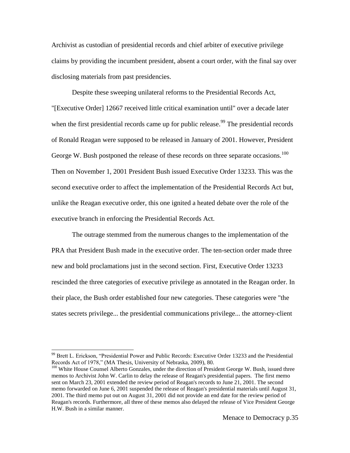Archivist as custodian of presidential records and chief arbiter of executive privilege claims by providing the incumbent president, absent a court order, with the final say over disclosing materials from past presidencies.

Despite these sweeping unilateral reforms to the Presidential Records Act, "[Executive Order] 12667 received little critical examination until" over a decade later when the first presidential records came up for public release.<sup>99</sup> The presidential records of Ronald Reagan were supposed to be released in January of 2001. However, President George W. Bush postponed the release of these records on three separate occasions.<sup>100</sup> Then on November 1, 2001 President Bush issued Executive Order 13233. This was the second executive order to affect the implementation of the Presidential Records Act but, unlike the Reagan executive order, this one ignited a heated debate over the role of the executive branch in enforcing the Presidential Records Act.

The outrage stemmed from the numerous changes to the implementation of the PRA that President Bush made in the executive order. The ten-section order made three new and bold proclamations just in the second section. First, Executive Order 13233 rescinded the three categories of executive privilege as annotated in the Reagan order. In their place, the Bush order established four new categories. These categories were "the states secrets privilege... the presidential communications privilege... the attorney-client

l

<sup>&</sup>lt;sup>99</sup> Brett L. Erickson, "Presidential Power and Public Records: Executive Order 13233 and the Presidential Records Act of 1978," (MA Thesis, University of Nebraska, 2009), 80.

<sup>&</sup>lt;sup>100</sup> White House Counsel Alberto Gonzales, under the direction of President George W. Bush, issued three memos to Archivist John W. Carlin to delay the release of Reagan's presidential papers. The first memo sent on March 23, 2001 extended the review period of Reagan's records to June 21, 2001. The second memo forwarded on June 6, 2001 suspended the release of Reagan's presidential materials until August 31, 2001. The third memo put out on August 31, 2001 did not provide an end date for the review period of Reagan's records. Furthermore, all three of these memos also delayed the release of Vice President George H.W. Bush in a similar manner.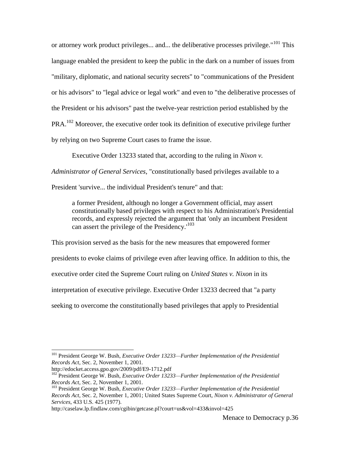or attorney work product privileges... and... the deliberative processes privilege."<sup>101</sup> This language enabled the president to keep the public in the dark on a number of issues from "military, diplomatic, and national security secrets" to "communications of the President or his advisors" to "legal advice or legal work" and even to "the deliberative processes of the President or his advisors" past the twelve-year restriction period established by the  $PRA<sup>102</sup>$  Moreover, the executive order took its definition of executive privilege further by relying on two Supreme Court cases to frame the issue.

Executive Order 13233 stated that, according to the ruling in *Nixon v.* 

*Administrator of General Services*, "constitutionally based privileges available to a

President 'survive... the individual President's tenure" and that:

a former President, although no longer a Government official, may assert constitutionally based privileges with respect to his Administration's Presidential records, and expressly rejected the argument that 'only an incumbent President can assert the privilege of the Presidency.<sup>103</sup>

This provision served as the basis for the new measures that empowered former presidents to evoke claims of privilege even after leaving office. In addition to this, the executive order cited the Supreme Court ruling on *United States v. Nixon* in its interpretation of executive privilege. Executive Order 13233 decreed that "a party seeking to overcome the constitutionally based privileges that apply to Presidential

l

http://caselaw.lp.findlaw.com/cgibin/getcase.pl?court=us&vol=433&invol=425

<sup>101</sup> President George W. Bush, *Executive Order 13233—Further Implementation of the Presidential Records Act*, Sec. 2, November 1, 2001.

http://edocket.access.gpo.gov/2009/pdf/E9-1712.pdf

<sup>&</sup>lt;sup>102</sup> President George W. Bush, *Executive Order 13233—Further Implementation of the Presidential Records Act*, Sec. 2, November 1, 2001.

<sup>103</sup> President George W. Bush, *Executive Order 13233—Further Implementation of the Presidential Records Act*, Sec. 2, November 1, 2001; United States Supreme Court, *Nixon v. Administrator of General Services*, 433 U.S. 425 (1977).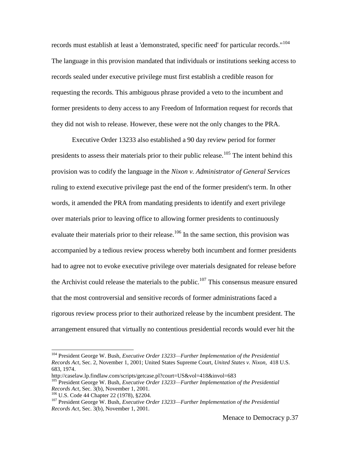records must establish at least a 'demonstrated, specific need' for particular records."<sup>104</sup> The language in this provision mandated that individuals or institutions seeking access to records sealed under executive privilege must first establish a credible reason for requesting the records. This ambiguous phrase provided a veto to the incumbent and former presidents to deny access to any Freedom of Information request for records that they did not wish to release. However, these were not the only changes to the PRA.

Executive Order 13233 also established a 90 day review period for former presidents to assess their materials prior to their public release.<sup>105</sup> The intent behind this provision was to codify the language in the *Nixon v. Administrator of General Services* ruling to extend executive privilege past the end of the former president's term. In other words, it amended the PRA from mandating presidents to identify and exert privilege over materials prior to leaving office to allowing former presidents to continuously evaluate their materials prior to their release.<sup>106</sup> In the same section, this provision was accompanied by a tedious review process whereby both incumbent and former presidents had to agree not to evoke executive privilege over materials designated for release before the Archivist could release the materials to the public.<sup>107</sup> This consensus measure ensured that the most controversial and sensitive records of former administrations faced a rigorous review process prior to their authorized release by the incumbent president. The arrangement ensured that virtually no contentious presidential records would ever hit the

l

<sup>104</sup> President George W. Bush, *Executive Order 13233—Further Implementation of the Presidential Records Act*, Sec. 2, November 1, 2001; United States Supreme Court, *United States v. Nixon*, 418 U.S. 683, 1974.

http://caselaw.lp.findlaw.com/scripts/getcase.pl?court=US&vol=418&invol=683

<sup>105</sup> President George W. Bush, *Executive Order 13233—Further Implementation of the Presidential Records Act*, Sec. 3(b), November 1, 2001.

<sup>106</sup> U.S. Code 44 Chapter 22 (1978), §2204.

<sup>107</sup> President George W. Bush, *Executive Order 13233—Further Implementation of the Presidential Records Act*, Sec. 3(b), November 1, 2001.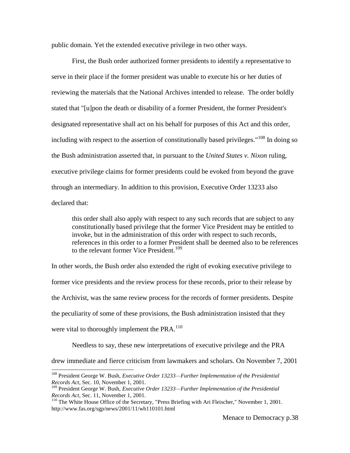public domain. Yet the extended executive privilege in two other ways.

First, the Bush order authorized former presidents to identify a representative to serve in their place if the former president was unable to execute his or her duties of reviewing the materials that the National Archives intended to release. The order boldly stated that "[u]pon the death or disability of a former President, the former President's designated representative shall act on his behalf for purposes of this Act and this order, including with respect to the assertion of constitutionally based privileges."<sup>108</sup> In doing so the Bush administration asserted that, in pursuant to the *United States v. Nixon* ruling, executive privilege claims for former presidents could be evoked from beyond the grave through an intermediary. In addition to this provision, Executive Order 13233 also declared that:

this order shall also apply with respect to any such records that are subject to any constitutionally based privilege that the former Vice President may be entitled to invoke, but in the administration of this order with respect to such records, references in this order to a former President shall be deemed also to be references to the relevant former Vice President.<sup>109</sup>

In other words, the Bush order also extended the right of evoking executive privilege to former vice presidents and the review process for these records, prior to their release by the Archivist, was the same review process for the records of former presidents. Despite the peculiarity of some of these provisions, the Bush administration insisted that they were vital to thoroughly implement the  $PRA<sup>110</sup>$ 

Needless to say, these new interpretations of executive privilege and the PRA drew immediate and fierce criticism from lawmakers and scholars. On November 7, 2001

<sup>108</sup> President George W. Bush, *Executive Order 13233—Further Implementation of the Presidential Records Act*, Sec. 10, November 1, 2001.

<sup>109</sup> President George W. Bush, *Executive Order 13233—Further Implementation of the Presidential Records Act*, Sec. 11, November 1, 2001.

<sup>&</sup>lt;sup>110</sup> The White House Office of the Secretary, "Press Briefing with Ari Fleischer," November 1, 2001. http://www.fas.org/sgp/news/2001/11/wh110101.html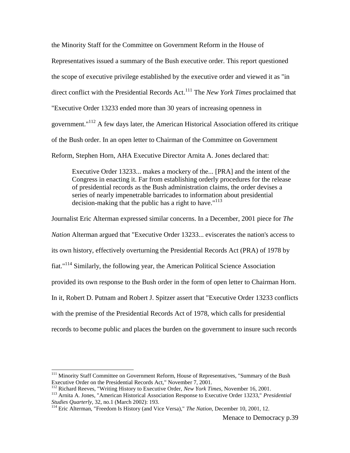the Minority Staff for the Committee on Government Reform in the House of Representatives issued a summary of the Bush executive order. This report questioned the scope of executive privilege established by the executive order and viewed it as "in direct conflict with the Presidential Records Act. <sup>111</sup> The *New York Times* proclaimed that "Executive Order 13233 ended more than 30 years of increasing openness in government."<sup>112</sup> A few days later, the American Historical Association offered its critique of the Bush order. In an open letter to Chairman of the Committee on Government Reform, Stephen Horn, AHA Executive Director Arnita A. Jones declared that:

Executive Order 13233... makes a mockery of the... [PRA] and the intent of the Congress in enacting it. Far from establishing orderly procedures for the release of presidential records as the Bush administration claims, the order devises a series of nearly impenetrable barricades to information about presidential decision-making that the public has a right to have." $113$ 

Journalist Eric Alterman expressed similar concerns. In a December, 2001 piece for *The Nation* Alterman argued that "Executive Order 13233... eviscerates the nation's access to its own history, effectively overturning the Presidential Records Act (PRA) of 1978 by fiat."<sup>114</sup> Similarly, the following year, the American Political Science Association provided its own response to the Bush order in the form of open letter to Chairman Horn. In it, Robert D. Putnam and Robert J. Spitzer assert that "Executive Order 13233 conflicts with the premise of the Presidential Records Act of 1978, which calls for presidential records to become public and places the burden on the government to insure such records

<sup>&</sup>lt;sup>111</sup> Minority Staff Committee on Government Reform, House of Representatives, "Summary of the Bush Executive Order on the Presidential Records Act," November 7, 2001.

<sup>112</sup> Richard Reeves, "Writing History to Executive Order, *New York Times*, November 16, 2001.

<sup>113</sup> Arnita A. Jones, "American Historical Association Response to Executive Order 13233," *Presidential Studies Quarterly*, 32, no.1 (March 2002): 193.

<sup>114</sup> Eric Alterman, "Freedom Is History (and Vice Versa)," *The Nation*, December 10, 2001, 12.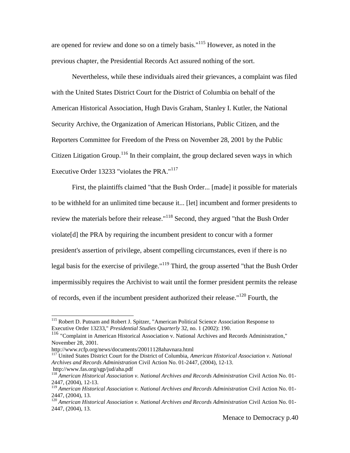are opened for review and done so on a timely basis."<sup>115</sup> However, as noted in the previous chapter, the Presidential Records Act assured nothing of the sort.

Nevertheless, while these individuals aired their grievances, a complaint was filed with the United States District Court for the District of Columbia on behalf of the American Historical Association, Hugh Davis Graham, Stanley I. Kutler, the National Security Archive, the Organization of American Historians, Public Citizen, and the Reporters Committee for Freedom of the Press on November 28, 2001 by the Public Citizen Litigation Group.<sup>116</sup> In their complaint, the group declared seven ways in which Executive Order 13233 "violates the PRA."<sup>117</sup>

First, the plaintiffs claimed "that the Bush Order... [made] it possible for materials to be withheld for an unlimited time because it... [let] incumbent and former presidents to review the materials before their release."<sup>118</sup> Second, they argued "that the Bush Order violate[d] the PRA by requiring the incumbent president to concur with a former president's assertion of privilege, absent compelling circumstances, even if there is no legal basis for the exercise of privilege."<sup>119</sup> Third, the group asserted "that the Bush Order impermissibly requires the Archivist to wait until the former president permits the release of records, even if the incumbent president authorized their release."<sup>120</sup> Fourth, the

 $\overline{\phantom{a}}$ 

<sup>&</sup>lt;sup>115</sup> Robert D. Putnam and Robert J. Spitzer, "American Political Science Association Response to Executive Order 13233," *Presidential Studies Quarterly* 32, no. 1 (2002): 190.

<sup>&</sup>lt;sup>116</sup> "Complaint in American Historical Association v. National Archives and Records Administration," November 28, 2001.

http://www.rcfp.org/news/documents/20011128ahavnara.html

<sup>117</sup> United States District Court for the District of Columbia, *American Historical Association v. National Archives and Records Administration* Civil Action No. 01-2447, (2004), 12-13. http://www.fas.org/sgp/jud/aha.pdf

<sup>118</sup> *American Historical Association v. National Archives and Records Administration* Civil Action No. 01- 2447, (2004), 12-13.

<sup>119</sup> *American Historical Association v. National Archives and Records Administration* Civil Action No. 01- 2447, (2004), 13.

<sup>120</sup> *American Historical Association v. National Archives and Records Administration* Civil Action No. 01- 2447, (2004), 13.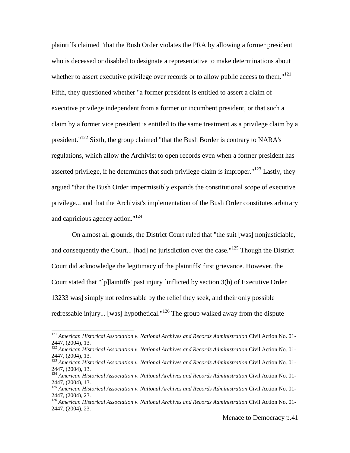plaintiffs claimed "that the Bush Order violates the PRA by allowing a former president who is deceased or disabled to designate a representative to make determinations about whether to assert executive privilege over records or to allow public access to them."<sup>121</sup> Fifth, they questioned whether "a former president is entitled to assert a claim of executive privilege independent from a former or incumbent president, or that such a claim by a former vice president is entitled to the same treatment as a privilege claim by a president."<sup>122</sup> Sixth, the group claimed "that the Bush Border is contrary to NARA's regulations, which allow the Archivist to open records even when a former president has asserted privilege, if he determines that such privilege claim is improper." $123$  Lastly, they argued "that the Bush Order impermissibly expands the constitutional scope of executive privilege... and that the Archivist's implementation of the Bush Order constitutes arbitrary and capricious agency action."<sup>124</sup>

On almost all grounds, the District Court ruled that "the suit [was] nonjusticiable, and consequently the Court... [had] no jurisdiction over the case."<sup>125</sup> Though the District Court did acknowledge the legitimacy of the plaintiffs' first grievance. However, the Court stated that "[p]laintiffs' past injury [inflicted by section 3(b) of Executive Order 13233 was] simply not redressable by the relief they seek, and their only possible redressable injury... [was] hypothetical."<sup>126</sup> The group walked away from the dispute

<sup>121</sup> *American Historical Association v. National Archives and Records Administration* Civil Action No. 01- 2447, (2004), 13.

<sup>122</sup> *American Historical Association v. National Archives and Records Administration* Civil Action No. 01- 2447, (2004), 13.

<sup>123</sup> *American Historical Association v. National Archives and Records Administration* Civil Action No. 01- 2447, (2004), 13.

<sup>124</sup> *American Historical Association v. National Archives and Records Administration* Civil Action No. 01- 2447, (2004), 13.

<sup>125</sup> *American Historical Association v. National Archives and Records Administration* Civil Action No. 01- 2447, (2004), 23.

<sup>126</sup> *American Historical Association v. National Archives and Records Administration* Civil Action No. 01- 2447, (2004), 23.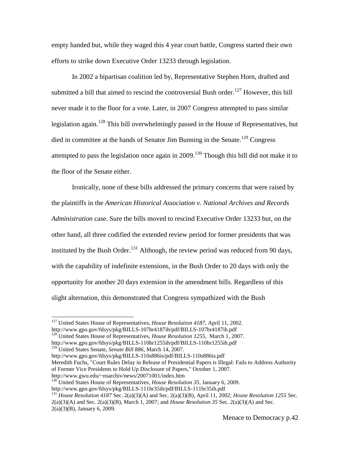empty handed but, while they waged this 4 year court battle, Congress started their own efforts to strike down Executive Order 13233 through legislation.

In 2002 a bipartisan coalition led by, Representative Stephen Horn, drafted and submitted a bill that aimed to rescind the controversial Bush order.<sup>127</sup> However, this bill never made it to the floor for a vote. Later, in 2007 Congress attempted to pass similar legislation again.<sup>128</sup> This bill overwhelmingly passed in the House of Representatives, but died in committee at the hands of Senator Jim Bunning in the Senate.<sup>129</sup> Congress attempted to pass the legislation once again in  $2009$ .<sup>130</sup> Though this bill did not make it to the floor of the Senate either.

Ironically, none of these bills addressed the primary concerns that were raised by the plaintiffs in the *American Historical Association v. National Archives and Records Administration* case. Sure the bills moved to rescind Executive Order 13233 but, on the other hand, all three codified the extended review period for former presidents that was instituted by the Bush Order.<sup>131</sup> Although, the review period was reduced from 90 days, with the capability of indefinite extensions, in the Bush Order to 20 days with only the opportunity for another 20 days extension in the amendment bills. Regardless of this slight alternation, this demonstrated that Congress sympathized with the Bush

 $\overline{\phantom{a}}$ 

http://www.gpo.gov/fdsys/pkg/BILLS-110s886is/pdf/BILLS-110s886is.pdf Meredith Fuchs, "Court Rules Delay in Release of Presidential Papers is Illegal: Fails to Address Authority

<sup>130</sup> United States House of Representatives, *House Resolution 35*, January 6, 2009.

http://www.gpo.gov/fdsys/pkg/BILLS-111hr35ih/pdf/BILLS-111hr35ih.pdf

<sup>127</sup> United States House of Representatives, *House Resolution 4187*, April 11, 2002. http://www.gpo.gov/fdsys/pkg/BILLS-107hr4187ih/pdf/BILLS-107hr4187ih.pdf

<sup>&</sup>lt;sup>128</sup> United States House of Representatives, *House Resolution 1255*, March 1, 2007. http://www.gpo.gov/fdsys/pkg/BILLS-110hr1255ih/pdf/BILLS-110hr1255ih.pdf

<sup>129</sup> United States Senate, *Senate Bill 886*, March 14, 2007.

of Former Vice Presidents to Hold Up Disclosure of Papers," October 1, 2007. http://www.gwu.edu/~nsarchiv/news/20071001/index.htm

<sup>131</sup> *House Resolution 4187* Sec. 2(a)(3)(A) and Sec. 2(a)(3)(B), April 11, 2002; *House Resolution 1255* Sec. 2(a)(3)(A) and Sec. 2(a)(3)(B), March 1, 2007; and *House Resolution 35* Sec. 2(a)(3)(A) and Sec. 2(a)(3)(B), January 6, 2009.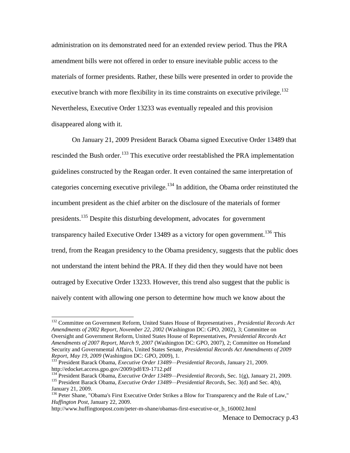administration on its demonstrated need for an extended review period. Thus the PRA amendment bills were not offered in order to ensure inevitable public access to the materials of former presidents. Rather, these bills were presented in order to provide the executive branch with more flexibility in its time constraints on executive privilege.<sup>132</sup> Nevertheless, Executive Order 13233 was eventually repealed and this provision disappeared along with it.

On January 21, 2009 President Barack Obama signed Executive Order 13489 that rescinded the Bush order.<sup>133</sup> This executive order reestablished the PRA implementation guidelines constructed by the Reagan order. It even contained the same interpretation of categories concerning executive privilege.<sup>134</sup> In addition, the Obama order reinstituted the incumbent president as the chief arbiter on the disclosure of the materials of former presidents.<sup>135</sup> Despite this disturbing development, advocates for government transparency hailed Executive Order 13489 as a victory for open government.<sup>136</sup> This trend, from the Reagan presidency to the Obama presidency, suggests that the public does not understand the intent behind the PRA. If they did then they would have not been outraged by Executive Order 13233. However, this trend also suggest that the public is naively content with allowing one person to determine how much we know about the

 $\overline{\phantom{a}}$ 

<sup>132</sup> Committee on Government Reform, United States House of Representatives , *Presidential Records Act Amendments of 2002 Report, November 22, 2002* (Washington DC: GPO, 2002), 3; Committee on Oversight and Government Reform, United States House of Representatives, *Presidential Records Act Amendments of 2007 Report, March 9, 2007* (Washington DC: GPO, 2007), 2; Committee on Homeland Security and Governmental Affairs, United States Senate, *Presidential Records Act Amendments of 2009 Report, May 19, 2009* (Washington DC: GPO, 2009), 1.

<sup>133</sup> President Barack Obama, *Executive Order 13489—Presidential Records*, January 21, 2009. http://edocket.access.gpo.gov/2009/pdf/E9-1712.pdf

<sup>134</sup> President Barack Obama, *Executive Order 13489—Presidential Records*, Sec. 1(g), January 21, 2009. <sup>135</sup> President Barack Obama, *Executive Order 13489—Presidential Records*, Sec. 3(d) and Sec. 4(b), January 21, 2009.

<sup>&</sup>lt;sup>136</sup> Peter Shane, "Obama's First Executive Order Strikes a Blow for Transparency and the Rule of Law," *Huffington Post*, January 22, 2009.

http://www.huffingtonpost.com/peter-m-shane/obamas-first-executive-or\_b\_160002.html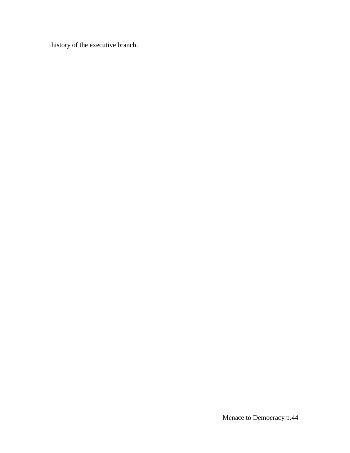history of the executive branch.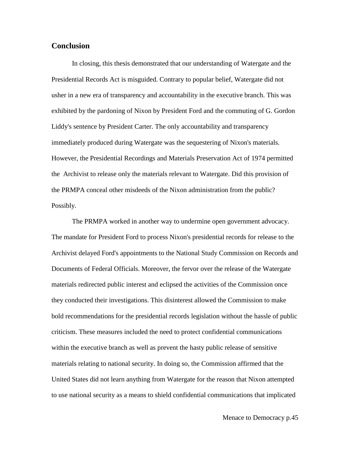## **Conclusion**

In closing, this thesis demonstrated that our understanding of Watergate and the Presidential Records Act is misguided. Contrary to popular belief, Watergate did not usher in a new era of transparency and accountability in the executive branch. This was exhibited by the pardoning of Nixon by President Ford and the commuting of G. Gordon Liddy's sentence by President Carter. The only accountability and transparency immediately produced during Watergate was the sequestering of Nixon's materials. However, the Presidential Recordings and Materials Preservation Act of 1974 permitted the Archivist to release only the materials relevant to Watergate. Did this provision of the PRMPA conceal other misdeeds of the Nixon administration from the public? Possibly.

The PRMPA worked in another way to undermine open government advocacy. The mandate for President Ford to process Nixon's presidential records for release to the Archivist delayed Ford's appointments to the National Study Commission on Records and Documents of Federal Officials. Moreover, the fervor over the release of the Watergate materials redirected public interest and eclipsed the activities of the Commission once they conducted their investigations. This disinterest allowed the Commission to make bold recommendations for the presidential records legislation without the hassle of public criticism. These measures included the need to protect confidential communications within the executive branch as well as prevent the hasty public release of sensitive materials relating to national security. In doing so, the Commission affirmed that the United States did not learn anything from Watergate for the reason that Nixon attempted to use national security as a means to shield confidential communications that implicated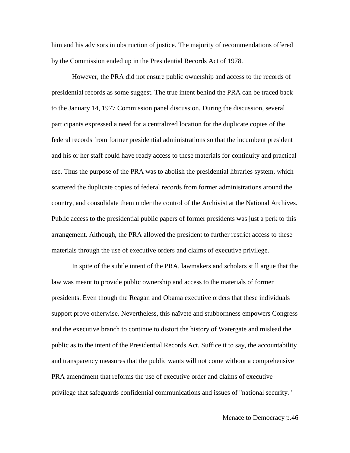him and his advisors in obstruction of justice. The majority of recommendations offered by the Commission ended up in the Presidential Records Act of 1978.

However, the PRA did not ensure public ownership and access to the records of presidential records as some suggest. The true intent behind the PRA can be traced back to the January 14, 1977 Commission panel discussion. During the discussion, several participants expressed a need for a centralized location for the duplicate copies of the federal records from former presidential administrations so that the incumbent president and his or her staff could have ready access to these materials for continuity and practical use. Thus the purpose of the PRA was to abolish the presidential libraries system, which scattered the duplicate copies of federal records from former administrations around the country, and consolidate them under the control of the Archivist at the National Archives. Public access to the presidential public papers of former presidents was just a perk to this arrangement. Although, the PRA allowed the president to further restrict access to these materials through the use of executive orders and claims of executive privilege.

In spite of the subtle intent of the PRA, lawmakers and scholars still argue that the law was meant to provide public ownership and access to the materials of former presidents. Even though the Reagan and Obama executive orders that these individuals support prove otherwise. Nevertheless, this naïveté and stubbornness empowers Congress and the executive branch to continue to distort the history of Watergate and mislead the public as to the intent of the Presidential Records Act. Suffice it to say, the accountability and transparency measures that the public wants will not come without a comprehensive PRA amendment that reforms the use of executive order and claims of executive privilege that safeguards confidential communications and issues of "national security."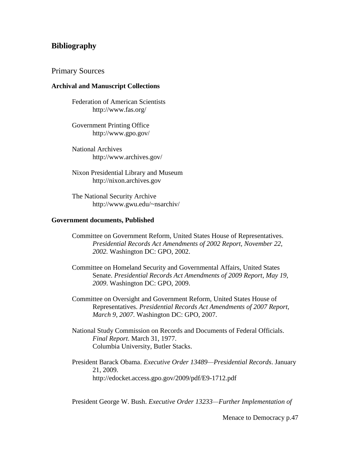# **Bibliography**

### Primary Sources

#### **Archival and Manuscript Collections**

Federation of American Scientists http://www.fas.org/

Government Printing Office http://www.gpo.gov/

National Archives http://www.archives.gov/

Nixon Presidential Library and Museum http://nixon.archives.gov

The National Security Archive http://www.gwu.edu/~nsarchiv/

#### **Government documents, Published**

- Committee on Government Reform, United States House of Representatives. *Presidential Records Act Amendments of 2002 Report, November 22, 2002.* Washington DC: GPO, 2002.
- Committee on Homeland Security and Governmental Affairs, United States Senate. *Presidential Records Act Amendments of 2009 Report, May 19, 2009*. Washington DC: GPO, 2009.
- Committee on Oversight and Government Reform, United States House of Representatives. *Presidential Records Act Amendments of 2007 Report, March 9, 2007*. Washington DC: GPO, 2007.

National Study Commission on Records and Documents of Federal Officials. *Final Report*. March 31, 1977. Columbia University, Butler Stacks.

President Barack Obama. *Executive Order 13489—Presidential Records*. January 21, 2009. http://edocket.access.gpo.gov/2009/pdf/E9-1712.pdf

President George W. Bush. *Executive Order 13233—Further Implementation of* 

Menace to Democracy p.47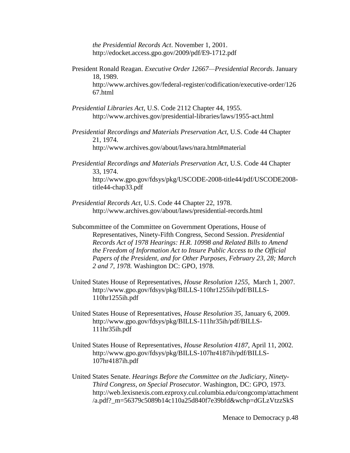*the Presidential Records Act*. November 1, 2001. http://edocket.access.gpo.gov/2009/pdf/E9-1712.pdf

President Ronald Reagan. *Executive Order 12667—Presidential Records*. January 18, 1989.

http://www.archives.gov/federal-register/codification/executive-order/126 67.html

- *Presidential Libraries Act*, U.S. Code 2112 Chapter 44, 1955. http://www.archives.gov/presidential-libraries/laws/1955-act.html
- *Presidential Recordings and Materials Preservation Act*, U.S. Code 44 Chapter 21, 1974. http://www.archives.gov/about/laws/nara.html#material
- *Presidential Recordings and Materials Preservation Act*, U.S. Code 44 Chapter 33, 1974. http://www.gpo.gov/fdsys/pkg/USCODE-2008-title44/pdf/USCODE2008 title44-chap33.pdf
- *Presidential Records Act*, U.S. Code 44 Chapter 22, 1978. http://www.archives.gov/about/laws/presidential-records.html
- Subcommittee of the Committee on Government Operations, House of Representatives, Ninety-Fifth Congress, Second Session. *Presidential Records Act of 1978 Hearings: H.R. 10998 and Related Bills to Amend the Freedom of Information Act to Insure Public Access to the Official Papers of the President, and for Other Purposes, February 23, 28; March 2 and 7, 1978.* Washington DC: GPO, 1978.
- United States House of Representatives, *House Resolution 1255*, March 1, 2007. http://www.gpo.gov/fdsys/pkg/BILLS-110hr1255ih/pdf/BILLS-110hr1255ih.pdf
- United States House of Representatives, *House Resolution 35*, January 6, 2009. http://www.gpo.gov/fdsys/pkg/BILLS-111hr35ih/pdf/BILLS-111hr35ih.pdf
- United States House of Representatives, *House Resolution 4187*, April 11, 2002. http://www.gpo.gov/fdsys/pkg/BILLS-107hr4187ih/pdf/BILLS-107hr4187ih.pdf
- United States Senate. *Hearings Before the Committee on the Judiciary, Ninety-Third Congress, on Special Prosecutor*. Washington, DC: GPO, 1973. http://web.lexisnexis.com.ezproxy.cul.columbia.edu/congcomp/attachment /a.pdf?\_m=56379c5089b14c110a25d840f7e39bfd&wchp=dGLzVtzzSkS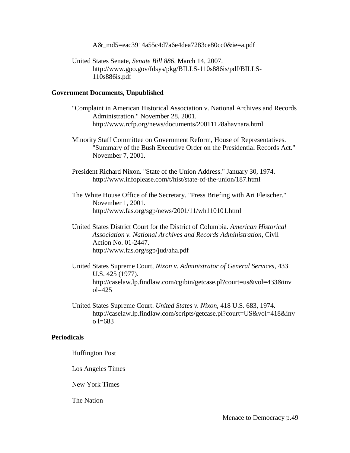A& md5=eac3914a55c4d7a6e4dea7283ce80cc0&ie=a.pdf

United States Senate, *Senate Bill 886*, March 14, 2007. http://www.gpo.gov/fdsys/pkg/BILLS-110s886is/pdf/BILLS-110s886is.pdf

## **Government Documents, Unpublished**

- "Complaint in American Historical Association v. National Archives and Records Administration." November 28, 2001. http://www.rcfp.org/news/documents/20011128ahavnara.html
- Minority Staff Committee on Government Reform, House of Representatives. "Summary of the Bush Executive Order on the Presidential Records Act." November 7, 2001.
- President Richard Nixon. "State of the Union Address." January 30, 1974. http://www.infoplease.com/t/hist/state-of-the-union/187.html
- The White House Office of the Secretary. "Press Briefing with Ari Fleischer." November 1, 2001. http://www.fas.org/sgp/news/2001/11/wh110101.html
- United States District Court for the District of Columbia. *American Historical Association v. National Archives and Records Administration*, Civil Action No. 01-2447. http://www.fas.org/sgp/jud/aha.pdf
- United States Supreme Court, *Nixon v. Administrator of General Services*, 433 U.S. 425 (1977). http://caselaw.lp.findlaw.com/cgibin/getcase.pl?court=us&vol=433&inv ol=425
- United States Supreme Court. *United States v. Nixon*, 418 U.S. 683, 1974. http://caselaw.lp.findlaw.com/scripts/getcase.pl?court=US&vol=418&inv o l=683

## **Periodicals**

## Huffington Post

Los Angeles Times

New York Times

The Nation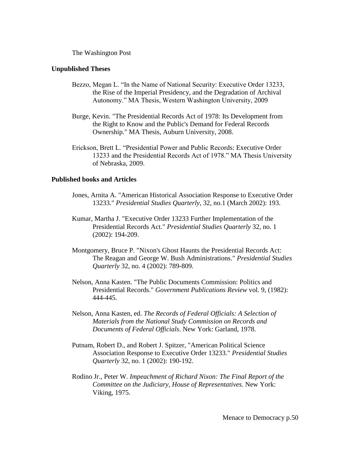The Washington Post

#### **Unpublished Theses**

- Bezzo, Megan L. "In the Name of National Security: Executive Order 13233, the Rise of the Imperial Presidency, and the Degradation of Archival Autonomy." MA Thesis, Western Washington University, 2009
- Burge, Kevin. "The Presidential Records Act of 1978: Its Development from the Right to Know and the Public's Demand for Federal Records Ownership." MA Thesis, Auburn University, 2008.
- Erickson, Brett L. "Presidential Power and Public Records: Executive Order 13233 and the Presidential Records Act of 1978." MA Thesis University of Nebraska, 2009.

#### **Published books and Articles**

- Jones, Arnita A. "American Historical Association Response to Executive Order 13233." *Presidential Studies Quarterly*, 32, no.1 (March 2002): 193.
- Kumar, Martha J. "Executive Order 13233 Further Implementation of the Presidential Records Act." *Presidential Studies Quarterly* 32, no. 1 (2002): 194-209.
- Montgomery, Bruce P. "Nixon's Ghost Haunts the Presidential Records Act: The Reagan and George W. Bush Administrations." *Presidential Studies Quarterly* 32, no. 4 (2002): 789-809.
- Nelson, Anna Kasten. "The Public Documents Commission: Politics and Presidential Records." *Government Publications Review* vol. 9, (1982): 444-445.
- Nelson, Anna Kasten, ed. *The Records of Federal Officials: A Selection of Materials from the National Study Commission on Records and Documents of Federal Officials*. New York: Garland, 1978.
- Putnam, Robert D., and Robert J. Spitzer, "American Political Science Association Response to Executive Order 13233." *Presidential Studies Quarterly* 32, no. 1 (2002): 190-192.
- Rodino Jr., Peter W. *Impeachment of Richard Nixon: The Final Report of the Committee on the Judiciary, House of Representatives*. New York: Viking, 1975.